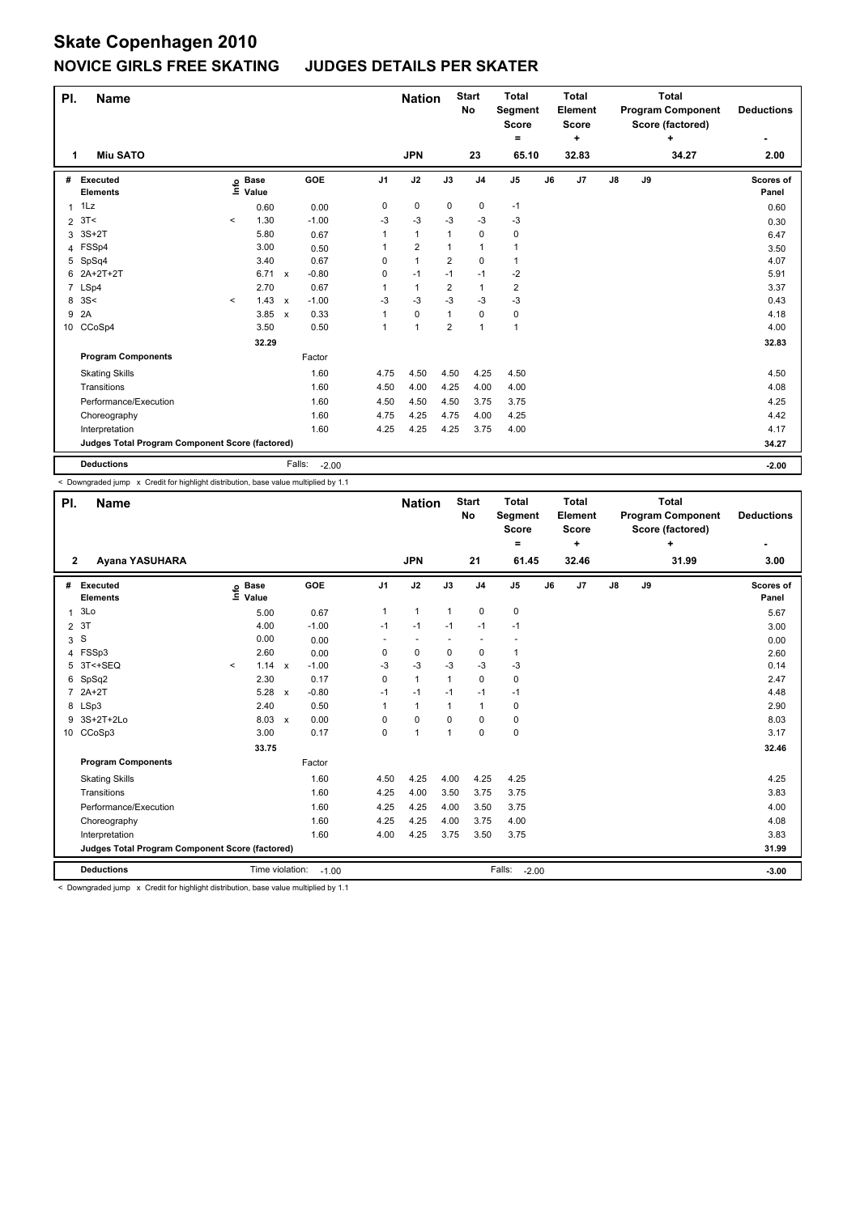| PI. | <b>Name</b>                                     |                          |                      |              |                   |                | <b>Nation</b>  |                         | <b>Start</b><br>No | <b>Total</b><br>Segment<br><b>Score</b><br>= |    | <b>Total</b><br>Element<br><b>Score</b><br>٠ |               |    | <b>Total</b><br><b>Program Component</b><br>Score (factored)<br>٠ | <b>Deductions</b>  |
|-----|-------------------------------------------------|--------------------------|----------------------|--------------|-------------------|----------------|----------------|-------------------------|--------------------|----------------------------------------------|----|----------------------------------------------|---------------|----|-------------------------------------------------------------------|--------------------|
| 1   | <b>Miu SATO</b>                                 |                          |                      |              |                   |                | <b>JPN</b>     |                         | 23                 | 65.10                                        |    | 32.83                                        |               |    | 34.27                                                             | 2.00               |
| #   | Executed<br><b>Elements</b>                     | ١nfo                     | <b>Base</b><br>Value |              | GOE               | J <sub>1</sub> | J2             | J3                      | J <sub>4</sub>     | J <sub>5</sub>                               | J6 | J7                                           | $\mathsf{J}8$ | J9 |                                                                   | Scores of<br>Panel |
| 1   | 1Lz                                             |                          | 0.60                 |              | 0.00              | 0              | $\mathbf 0$    | $\mathbf 0$             | $\pmb{0}$          | $-1$                                         |    |                                              |               |    |                                                                   | 0.60               |
| 2   | 3T<                                             | $\overline{\phantom{a}}$ | 1.30                 |              | $-1.00$           | $-3$           | $-3$           | $-3$                    | $-3$               | -3                                           |    |                                              |               |    |                                                                   | 0.30               |
| 3   | $3S+2T$                                         |                          | 5.80                 |              | 0.67              | 1              | $\mathbf{1}$   | 1                       | $\mathbf 0$        | $\pmb{0}$                                    |    |                                              |               |    |                                                                   | 6.47               |
|     | 4 FSSp4                                         |                          | 3.00                 |              | 0.50              | 1              | $\overline{2}$ | 1                       | $\overline{1}$     | $\mathbf{1}$                                 |    |                                              |               |    |                                                                   | 3.50               |
|     | 5 SpSq4                                         |                          | 3.40                 |              | 0.67              | 0              | $\mathbf{1}$   | $\overline{\mathbf{c}}$ | 0                  | $\mathbf{1}$                                 |    |                                              |               |    |                                                                   | 4.07               |
| 6   | 2A+2T+2T                                        |                          | 6.71                 | $\mathsf{x}$ | $-0.80$           | 0              | $-1$           | $-1$                    | $-1$               | -2                                           |    |                                              |               |    |                                                                   | 5.91               |
|     | 7 LSp4                                          |                          | 2.70                 |              | 0.67              | 1              | $\mathbf{1}$   | $\overline{2}$          | $\mathbf{1}$       | $\overline{2}$                               |    |                                              |               |    |                                                                   | 3.37               |
|     | 8 3 S <                                         | $\hat{~}$                | 1.43                 | $\mathsf{x}$ | $-1.00$           | $-3$           | $-3$           | $-3$                    | $-3$               | $-3$                                         |    |                                              |               |    |                                                                   | 0.43               |
| 9   | 2A                                              |                          | 3.85                 | $\mathsf{x}$ | 0.33              | 1              | $\pmb{0}$      | 1                       | $\pmb{0}$          | $\pmb{0}$                                    |    |                                              |               |    |                                                                   | 4.18               |
|     | 10 CCoSp4                                       |                          | 3.50                 |              | 0.50              | 1              | 1              | $\overline{2}$          | $\overline{1}$     | $\mathbf{1}$                                 |    |                                              |               |    |                                                                   | 4.00               |
|     |                                                 |                          | 32.29                |              |                   |                |                |                         |                    |                                              |    |                                              |               |    |                                                                   | 32.83              |
|     | <b>Program Components</b>                       |                          |                      |              | Factor            |                |                |                         |                    |                                              |    |                                              |               |    |                                                                   |                    |
|     | <b>Skating Skills</b>                           |                          |                      |              | 1.60              | 4.75           | 4.50           | 4.50                    | 4.25               | 4.50                                         |    |                                              |               |    |                                                                   | 4.50               |
|     | Transitions                                     |                          |                      |              | 1.60              | 4.50           | 4.00           | 4.25                    | 4.00               | 4.00                                         |    |                                              |               |    |                                                                   | 4.08               |
|     | Performance/Execution                           |                          |                      |              | 1.60              | 4.50           | 4.50           | 4.50                    | 3.75               | 3.75                                         |    |                                              |               |    |                                                                   | 4.25               |
|     | Choreography                                    |                          |                      |              | 1.60              | 4.75           | 4.25           | 4.75                    | 4.00               | 4.25                                         |    |                                              |               |    |                                                                   | 4.42               |
|     | Interpretation                                  |                          |                      |              | 1.60              | 4.25           | 4.25           | 4.25                    | 3.75               | 4.00                                         |    |                                              |               |    |                                                                   | 4.17               |
|     | Judges Total Program Component Score (factored) |                          |                      |              |                   |                |                |                         |                    |                                              |    |                                              |               |    |                                                                   | 34.27              |
|     | <b>Deductions</b>                               |                          |                      |              | Falls:<br>$-2.00$ |                |                |                         |                    |                                              |    |                                              |               |    |                                                                   | $-2.00$            |

< Downgraded jump x Credit for highlight distribution, base value multiplied by 1.1

| PI.             | <b>Name</b>                                     |         |                      |              |         |              | <b>Nation</b>  |          | <b>Start</b><br>No       | <b>Total</b><br>Segment<br><b>Score</b><br>٠ |    | <b>Total</b><br>Element<br>Score<br>÷ |    |    | <b>Total</b><br><b>Program Component</b><br>Score (factored)<br>÷ | <b>Deductions</b>  |
|-----------------|-------------------------------------------------|---------|----------------------|--------------|---------|--------------|----------------|----------|--------------------------|----------------------------------------------|----|---------------------------------------|----|----|-------------------------------------------------------------------|--------------------|
| $\mathbf{2}$    | Ayana YASUHARA                                  |         |                      |              |         |              | <b>JPN</b>     |          | 21                       | 61.45                                        |    | 32.46                                 |    |    | 31.99                                                             | 3.00               |
| #               | Executed<br><b>Elements</b>                     | lnfo    | <b>Base</b><br>Value |              | GOE     | J1           | J2             | J3       | J <sub>4</sub>           | J <sub>5</sub>                               | J6 | J7                                    | J8 | J9 |                                                                   | Scores of<br>Panel |
| 1               | 3Lo                                             |         | 5.00                 |              | 0.67    | $\mathbf{1}$ | $\mathbf{1}$   | 1        | 0                        | 0                                            |    |                                       |    |    |                                                                   | 5.67               |
| $\overline{2}$  | 3T                                              |         | 4.00                 |              | $-1.00$ | $-1$         | $-1$           | $-1$     | $-1$                     | $-1$                                         |    |                                       |    |    |                                                                   | 3.00               |
| 3               | S                                               |         | 0.00                 |              | 0.00    |              |                |          | $\overline{\phantom{a}}$ |                                              |    |                                       |    |    |                                                                   | 0.00               |
| 4               | FSSp3                                           |         | 2.60                 |              | 0.00    | 0            | 0              | 0        | 0                        | 1                                            |    |                                       |    |    |                                                                   | 2.60               |
| 5.              | 3T<+SEQ                                         | $\prec$ | $1.14 \times$        |              | $-1.00$ | $-3$         | $-3$           | $-3$     | $-3$                     | $-3$                                         |    |                                       |    |    |                                                                   | 0.14               |
| 6               | SpSq2                                           |         | 2.30                 |              | 0.17    | 0            | $\mathbf{1}$   | 1        | 0                        | 0                                            |    |                                       |    |    |                                                                   | 2.47               |
| $\overline{7}$  | $2A+2T$                                         |         | 5.28                 | $\mathsf{x}$ | $-0.80$ | $-1$         | $-1$           | $-1$     | $-1$                     | $-1$                                         |    |                                       |    |    |                                                                   | 4.48               |
|                 | 8 LSp3                                          |         | 2.40                 |              | 0.50    |              | $\mathbf{1}$   |          | $\mathbf{1}$             | 0                                            |    |                                       |    |    |                                                                   | 2.90               |
| 9               | 3S+2T+2Lo                                       |         | 8.03 x               |              | 0.00    | $\Omega$     | $\Omega$       | $\Omega$ | 0                        | 0                                            |    |                                       |    |    |                                                                   | 8.03               |
| 10 <sup>°</sup> | CCoSp3                                          |         | 3.00                 |              | 0.17    | 0            | $\overline{1}$ | 1        | 0                        | 0                                            |    |                                       |    |    |                                                                   | 3.17               |
|                 |                                                 |         | 33.75                |              |         |              |                |          |                          |                                              |    |                                       |    |    |                                                                   | 32.46              |
|                 | <b>Program Components</b>                       |         |                      |              | Factor  |              |                |          |                          |                                              |    |                                       |    |    |                                                                   |                    |
|                 | <b>Skating Skills</b>                           |         |                      |              | 1.60    | 4.50         | 4.25           | 4.00     | 4.25                     | 4.25                                         |    |                                       |    |    |                                                                   | 4.25               |
|                 | Transitions                                     |         |                      |              | 1.60    | 4.25         | 4.00           | 3.50     | 3.75                     | 3.75                                         |    |                                       |    |    |                                                                   | 3.83               |
|                 | Performance/Execution                           |         |                      |              | 1.60    | 4.25         | 4.25           | 4.00     | 3.50                     | 3.75                                         |    |                                       |    |    |                                                                   | 4.00               |
|                 | Choreography                                    |         |                      |              | 1.60    | 4.25         | 4.25           | 4.00     | 3.75                     | 4.00                                         |    |                                       |    |    |                                                                   | 4.08               |
|                 | Interpretation                                  |         |                      |              | 1.60    | 4.00         | 4.25           | 3.75     | 3.50                     | 3.75                                         |    |                                       |    |    |                                                                   | 3.83               |
|                 | Judges Total Program Component Score (factored) |         |                      |              |         |              |                |          |                          |                                              |    |                                       |    |    |                                                                   | 31.99              |
|                 | <b>Deductions</b>                               |         | Time violation:      |              | $-1.00$ |              |                |          |                          | Falls:<br>$-2.00$                            |    |                                       |    |    |                                                                   | $-3.00$            |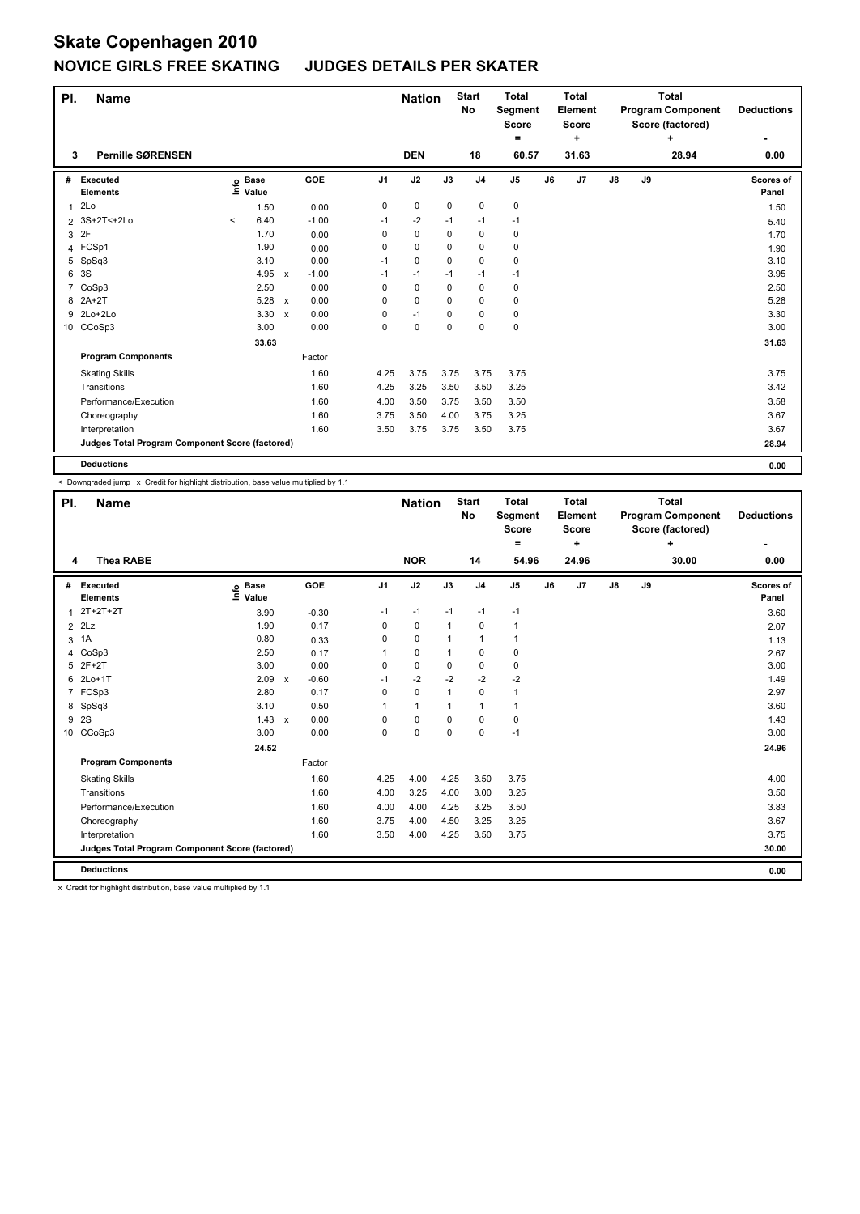| PI.            | <b>Name</b>                                     |         |                   |                           |         |                | <b>Nation</b> |      | <b>Start</b><br>No | <b>Total</b><br><b>Segment</b><br><b>Score</b><br>٠ |    | <b>Total</b><br>Element<br><b>Score</b><br>٠ |               |    | <b>Total</b><br><b>Program Component</b><br>Score (factored)<br>÷ | <b>Deductions</b>  |
|----------------|-------------------------------------------------|---------|-------------------|---------------------------|---------|----------------|---------------|------|--------------------|-----------------------------------------------------|----|----------------------------------------------|---------------|----|-------------------------------------------------------------------|--------------------|
| 3              | <b>Pernille SØRENSEN</b>                        |         |                   |                           |         |                | <b>DEN</b>    |      | 18                 | 60.57                                               |    | 31.63                                        |               |    | 28.94                                                             | 0.00               |
| #              | Executed<br><b>Elements</b>                     |         | e Base<br>⊆ Value |                           | GOE     | J <sub>1</sub> | J2            | J3   | J <sub>4</sub>     | J <sub>5</sub>                                      | J6 | J7                                           | $\mathsf{J}8$ | J9 |                                                                   | Scores of<br>Panel |
| 1              | 2Lo                                             |         | 1.50              |                           | 0.00    | 0              | $\pmb{0}$     | 0    | 0                  | $\mathbf 0$                                         |    |                                              |               |    |                                                                   | 1.50               |
| $\overline{2}$ | 3S+2T<+2Lo                                      | $\,<\,$ | 6.40              |                           | $-1.00$ | $-1$           | $-2$          | $-1$ | $-1$               | -1                                                  |    |                                              |               |    |                                                                   | 5.40               |
| 3              | 2F                                              |         | 1.70              |                           | 0.00    | 0              | $\mathbf 0$   | 0    | 0                  | 0                                                   |    |                                              |               |    |                                                                   | 1.70               |
|                | 4 FCSp1                                         |         | 1.90              |                           | 0.00    | 0              | 0             | 0    | $\Omega$           | 0                                                   |    |                                              |               |    |                                                                   | 1.90               |
| 5              | SpSq3                                           |         | 3.10              |                           | 0.00    | $-1$           | 0             | 0    | $\mathbf 0$        | $\pmb{0}$                                           |    |                                              |               |    |                                                                   | 3.10               |
| 6              | 3S                                              |         | 4.95              | $\mathsf{x}$              | $-1.00$ | $-1$           | $-1$          | $-1$ | $-1$               | $-1$                                                |    |                                              |               |    |                                                                   | 3.95               |
|                | 7 CoSp3                                         |         | 2.50              |                           | 0.00    | 0              | $\mathbf 0$   | 0    | 0                  | 0                                                   |    |                                              |               |    |                                                                   | 2.50               |
|                | 8 2A+2T                                         |         | 5.28              | $\mathsf{x}$              | 0.00    | 0              | 0             | 0    | 0                  | 0                                                   |    |                                              |               |    |                                                                   | 5.28               |
|                | 9 2Lo+2Lo                                       |         | 3.30              | $\boldsymbol{\mathsf{x}}$ | 0.00    | 0              | $-1$          | 0    | 0                  | $\mathbf 0$                                         |    |                                              |               |    |                                                                   | 3.30               |
|                | 10 CCoSp3                                       |         | 3.00              |                           | 0.00    | 0              | 0             | 0    | $\mathbf 0$        | $\mathbf 0$                                         |    |                                              |               |    |                                                                   | 3.00               |
|                |                                                 |         | 33.63             |                           |         |                |               |      |                    |                                                     |    |                                              |               |    |                                                                   | 31.63              |
|                | <b>Program Components</b>                       |         |                   |                           | Factor  |                |               |      |                    |                                                     |    |                                              |               |    |                                                                   |                    |
|                | <b>Skating Skills</b>                           |         |                   |                           | 1.60    | 4.25           | 3.75          | 3.75 | 3.75               | 3.75                                                |    |                                              |               |    |                                                                   | 3.75               |
|                | Transitions                                     |         |                   |                           | 1.60    | 4.25           | 3.25          | 3.50 | 3.50               | 3.25                                                |    |                                              |               |    |                                                                   | 3.42               |
|                | Performance/Execution                           |         |                   |                           | 1.60    | 4.00           | 3.50          | 3.75 | 3.50               | 3.50                                                |    |                                              |               |    |                                                                   | 3.58               |
|                | Choreography                                    |         |                   |                           | 1.60    | 3.75           | 3.50          | 4.00 | 3.75               | 3.25                                                |    |                                              |               |    |                                                                   | 3.67               |
|                | Interpretation                                  |         |                   |                           | 1.60    | 3.50           | 3.75          | 3.75 | 3.50               | 3.75                                                |    |                                              |               |    |                                                                   | 3.67               |
|                | Judges Total Program Component Score (factored) |         |                   |                           |         |                |               |      |                    |                                                     |    |                                              |               |    |                                                                   | 28.94              |
|                | <b>Deductions</b>                               |         |                   |                           |         |                |               |      |                    |                                                     |    |                                              |               |    |                                                                   | 0.00               |

< Downgraded jump x Credit for highlight distribution, base value multiplied by 1.1

| PI.            | <b>Name</b>                                     |                              |                           |         |                | <b>Nation</b> |                | <b>Start</b><br><b>No</b> | <b>Total</b><br>Segment<br><b>Score</b><br>۰ |    | <b>Total</b><br>Element<br><b>Score</b><br>÷ |    |    | Total<br><b>Program Component</b><br>Score (factored)<br>÷ | <b>Deductions</b><br>۰ |
|----------------|-------------------------------------------------|------------------------------|---------------------------|---------|----------------|---------------|----------------|---------------------------|----------------------------------------------|----|----------------------------------------------|----|----|------------------------------------------------------------|------------------------|
| 4              | <b>Thea RABE</b>                                |                              |                           |         |                | <b>NOR</b>    |                | 14                        | 54.96                                        |    | 24.96                                        |    |    | 30.00                                                      | 0.00                   |
| #              | Executed<br><b>Elements</b>                     | <b>Base</b><br>lnfo<br>Value |                           | GOE     | J <sub>1</sub> | J2            | J3             | J <sub>4</sub>            | J <sub>5</sub>                               | J6 | J7                                           | J8 | J9 |                                                            | Scores of<br>Panel     |
| $\mathbf{1}$   | $2T+2T+2T$                                      | 3.90                         |                           | $-0.30$ | $-1$           | $-1$          | $-1$           | $-1$                      | $-1$                                         |    |                                              |    |    |                                                            | 3.60                   |
| $\overline{2}$ | 2Lz                                             | 1.90                         |                           | 0.17    | 0              | $\mathbf 0$   | $\mathbf{1}$   | $\mathbf 0$               | $\mathbf{1}$                                 |    |                                              |    |    |                                                            | 2.07                   |
| 3              | 1A                                              | 0.80                         |                           | 0.33    | 0              | $\mathbf 0$   | -1             | $\overline{1}$            | 1                                            |    |                                              |    |    |                                                            | 1.13                   |
| 4              | CoSp3                                           | 2.50                         |                           | 0.17    | 1              | 0             | -1             | 0                         | 0                                            |    |                                              |    |    |                                                            | 2.67                   |
| 5              | $2F+2T$                                         | 3.00                         |                           | 0.00    | 0              | $\mathbf 0$   | 0              | 0                         | 0                                            |    |                                              |    |    |                                                            | 3.00                   |
| 6              | $2Lo+1T$                                        | 2.09                         | $\mathsf{x}$              | $-0.60$ | $-1$           | $-2$          | $-2$           | $-2$                      | $-2$                                         |    |                                              |    |    |                                                            | 1.49                   |
| $\overline{7}$ | FCSp3                                           | 2.80                         |                           | 0.17    | 0              | $\mathbf 0$   | $\overline{1}$ | $\mathbf 0$               | $\mathbf{1}$                                 |    |                                              |    |    |                                                            | 2.97                   |
| 8              | SpSq3                                           | 3.10                         |                           | 0.50    | 1              | $\mathbf{1}$  | 1              | $\overline{1}$            | $\mathbf{1}$                                 |    |                                              |    |    |                                                            | 3.60                   |
| 9              | 2S                                              | 1.43                         | $\boldsymbol{\mathsf{x}}$ | 0.00    | 0              | $\mathbf 0$   | 0              | 0                         | $\pmb{0}$                                    |    |                                              |    |    |                                                            | 1.43                   |
|                | 10 CCoSp3                                       | 3.00                         |                           | 0.00    | 0              | $\Omega$      | $\Omega$       | $\mathbf 0$               | $-1$                                         |    |                                              |    |    |                                                            | 3.00                   |
|                |                                                 | 24.52                        |                           |         |                |               |                |                           |                                              |    |                                              |    |    |                                                            | 24.96                  |
|                | <b>Program Components</b>                       |                              |                           | Factor  |                |               |                |                           |                                              |    |                                              |    |    |                                                            |                        |
|                | <b>Skating Skills</b>                           |                              |                           | 1.60    | 4.25           | 4.00          | 4.25           | 3.50                      | 3.75                                         |    |                                              |    |    |                                                            | 4.00                   |
|                | Transitions                                     |                              |                           | 1.60    | 4.00           | 3.25          | 4.00           | 3.00                      | 3.25                                         |    |                                              |    |    |                                                            | 3.50                   |
|                | Performance/Execution                           |                              |                           | 1.60    | 4.00           | 4.00          | 4.25           | 3.25                      | 3.50                                         |    |                                              |    |    |                                                            | 3.83                   |
|                | Choreography                                    |                              |                           | 1.60    | 3.75           | 4.00          | 4.50           | 3.25                      | 3.25                                         |    |                                              |    |    |                                                            | 3.67                   |
|                | Interpretation                                  |                              |                           | 1.60    | 3.50           | 4.00          | 4.25           | 3.50                      | 3.75                                         |    |                                              |    |    |                                                            | 3.75                   |
|                | Judges Total Program Component Score (factored) |                              |                           |         |                |               |                |                           |                                              |    |                                              |    |    |                                                            | 30.00                  |
|                | <b>Deductions</b>                               |                              |                           |         |                |               |                |                           |                                              |    |                                              |    |    |                                                            | 0.00                   |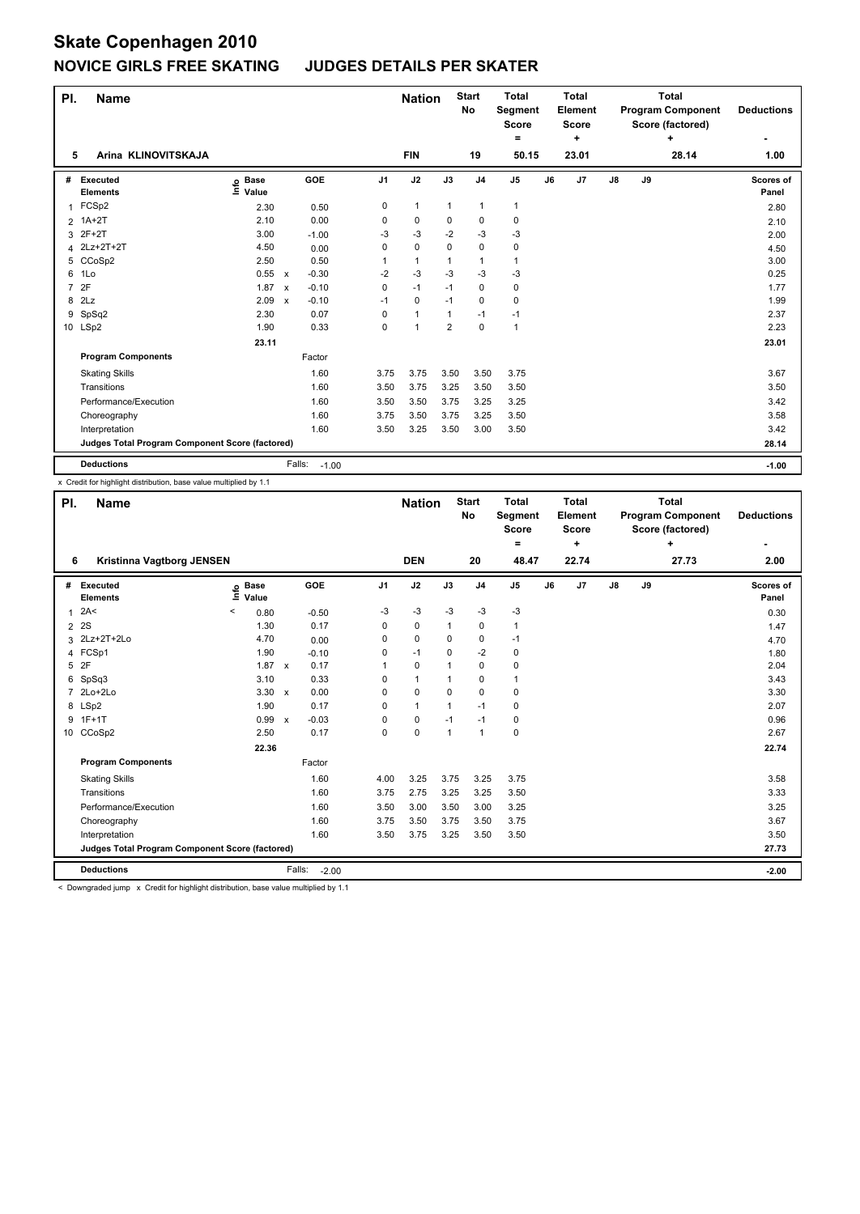| PI.            | <b>Name</b>                                     |                              |              |                   |                | <b>Nation</b> |                | <b>Start</b><br>No | <b>Total</b><br>Segment<br><b>Score</b><br>۰ |    | <b>Total</b><br>Element<br><b>Score</b><br>٠ |               |    | <b>Total</b><br><b>Program Component</b><br>Score (factored)<br>÷ | <b>Deductions</b>         |
|----------------|-------------------------------------------------|------------------------------|--------------|-------------------|----------------|---------------|----------------|--------------------|----------------------------------------------|----|----------------------------------------------|---------------|----|-------------------------------------------------------------------|---------------------------|
| 5              | Arina KLINOVITSKAJA                             |                              |              |                   |                | <b>FIN</b>    |                | 19                 | 50.15                                        |    | 23.01                                        |               |    | 28.14                                                             | 1.00                      |
| #              | Executed<br><b>Elements</b>                     | <b>Base</b><br>١nfo<br>Value |              | GOE               | J <sub>1</sub> | J2            | J3             | J <sub>4</sub>     | J <sub>5</sub>                               | J6 | J7                                           | $\mathsf{J}8$ | J9 |                                                                   | <b>Scores of</b><br>Panel |
| 1              | FCSp2                                           | 2.30                         |              | 0.50              | 0              | $\mathbf{1}$  | $\mathbf{1}$   | $\mathbf{1}$       | $\mathbf{1}$                                 |    |                                              |               |    |                                                                   | 2.80                      |
| 2              | $1A+2T$                                         | 2.10                         |              | 0.00              | 0              | $\pmb{0}$     | 0              | 0                  | $\pmb{0}$                                    |    |                                              |               |    |                                                                   | 2.10                      |
|                | 3 2F+2T                                         | 3.00                         |              | $-1.00$           | -3             | $-3$          | $-2$           | -3                 | -3                                           |    |                                              |               |    |                                                                   | 2.00                      |
|                | 4 2Lz+2T+2T                                     | 4.50                         |              | 0.00              | 0              | $\mathbf 0$   | 0              | 0                  | 0                                            |    |                                              |               |    |                                                                   | 4.50                      |
|                | 5 CCoSp2                                        | 2.50                         |              | 0.50              | 1              | 1             | 1              | $\overline{1}$     | $\mathbf{1}$                                 |    |                                              |               |    |                                                                   | 3.00                      |
| 6              | 1Lo                                             | 0.55                         | $\mathsf{x}$ | $-0.30$           | $-2$           | $-3$          | $-3$           | $-3$               | $-3$                                         |    |                                              |               |    |                                                                   | 0.25                      |
| $\overline{7}$ | 2F                                              | 1.87                         | $\mathsf{x}$ | $-0.10$           | 0              | $-1$          | $-1$           | 0                  | 0                                            |    |                                              |               |    |                                                                   | 1.77                      |
| 8              | 2Lz                                             | 2.09                         | $\mathsf{x}$ | $-0.10$           | $-1$           | $\mathbf 0$   | $-1$           | 0                  | 0                                            |    |                                              |               |    |                                                                   | 1.99                      |
| 9              | SpSq2                                           | 2.30                         |              | 0.07              | 0              | $\mathbf{1}$  | 1              | -1                 | $-1$                                         |    |                                              |               |    |                                                                   | 2.37                      |
|                | 10 LSp2                                         | 1.90                         |              | 0.33              | 0              | $\mathbf{1}$  | $\overline{2}$ | 0                  | $\mathbf{1}$                                 |    |                                              |               |    |                                                                   | 2.23                      |
|                |                                                 | 23.11                        |              |                   |                |               |                |                    |                                              |    |                                              |               |    |                                                                   | 23.01                     |
|                | <b>Program Components</b>                       |                              |              | Factor            |                |               |                |                    |                                              |    |                                              |               |    |                                                                   |                           |
|                | <b>Skating Skills</b>                           |                              |              | 1.60              | 3.75           | 3.75          | 3.50           | 3.50               | 3.75                                         |    |                                              |               |    |                                                                   | 3.67                      |
|                | Transitions                                     |                              |              | 1.60              | 3.50           | 3.75          | 3.25           | 3.50               | 3.50                                         |    |                                              |               |    |                                                                   | 3.50                      |
|                | Performance/Execution                           |                              |              | 1.60              | 3.50           | 3.50          | 3.75           | 3.25               | 3.25                                         |    |                                              |               |    |                                                                   | 3.42                      |
|                | Choreography                                    |                              |              | 1.60              | 3.75           | 3.50          | 3.75           | 3.25               | 3.50                                         |    |                                              |               |    |                                                                   | 3.58                      |
|                | Interpretation                                  |                              |              | 1.60              | 3.50           | 3.25          | 3.50           | 3.00               | 3.50                                         |    |                                              |               |    |                                                                   | 3.42                      |
|                | Judges Total Program Component Score (factored) |                              |              |                   |                |               |                |                    |                                              |    |                                              |               |    |                                                                   | 28.14                     |
|                | <b>Deductions</b>                               |                              |              | Falls:<br>$-1.00$ |                |               |                |                    |                                              |    |                                              |               |    |                                                                   | $-1.00$                   |

x Credit for highlight distribution, base value multiplied by 1.1

| PI.            | <b>Name</b>                                     |                              |                           |         |                | <b>Nation</b> |          | <b>Start</b><br>No | <b>Total</b><br>Segment<br><b>Score</b><br>۰ |    | <b>Total</b><br>Element<br><b>Score</b><br>÷ |               |    | <b>Total</b><br><b>Program Component</b><br>Score (factored)<br>÷ | <b>Deductions</b>  |
|----------------|-------------------------------------------------|------------------------------|---------------------------|---------|----------------|---------------|----------|--------------------|----------------------------------------------|----|----------------------------------------------|---------------|----|-------------------------------------------------------------------|--------------------|
| 6              | Kristinna Vagtborg JENSEN                       |                              |                           |         |                | <b>DEN</b>    |          | 20                 | 48.47                                        |    | 22.74                                        |               |    | 27.73                                                             | 2.00               |
| #              | Executed<br><b>Elements</b>                     | <b>Base</b><br>١nfo<br>Value |                           | GOE     | J <sub>1</sub> | J2            | J3       | J <sub>4</sub>     | J <sub>5</sub>                               | J6 | J7                                           | $\mathsf{J}8$ | J9 |                                                                   | Scores of<br>Panel |
| $\mathbf{1}$   | 2A<                                             | $\,<$<br>0.80                |                           | $-0.50$ | $-3$           | $-3$          | $-3$     | $-3$               | $-3$                                         |    |                                              |               |    |                                                                   | 0.30               |
| $\overline{2}$ | 2S                                              | 1.30                         |                           | 0.17    | 0              | $\mathbf 0$   | 1        | 0                  | 1                                            |    |                                              |               |    |                                                                   | 1.47               |
| 3              | 2Lz+2T+2Lo                                      | 4.70                         |                           | 0.00    | 0              | $\mathbf 0$   | $\Omega$ | 0                  | $-1$                                         |    |                                              |               |    |                                                                   | 4.70               |
|                | 4 FCSp1                                         | 1.90                         |                           | $-0.10$ | 0              | $-1$          | $\Omega$ | $-2$               | 0                                            |    |                                              |               |    |                                                                   | 1.80               |
| 5              | 2F                                              | 1.87 x                       |                           | 0.17    |                | $\mathbf 0$   |          | $\Omega$           | 0                                            |    |                                              |               |    |                                                                   | 2.04               |
| 6              | SpSq3                                           | 3.10                         |                           | 0.33    | 0              | $\mathbf{1}$  |          | 0                  | 1                                            |    |                                              |               |    |                                                                   | 3.43               |
| $\overline{7}$ | $2Lo+2Lo$                                       | $3.30 \times$                |                           | 0.00    | 0              | $\mathbf 0$   | $\Omega$ | $\mathbf 0$        | 0                                            |    |                                              |               |    |                                                                   | 3.30               |
|                | 8 LSp2                                          | 1.90                         |                           | 0.17    | 0              | $\mathbf{1}$  |          | $-1$               | 0                                            |    |                                              |               |    |                                                                   | 2.07               |
|                | 9 1F+1T                                         | 0.99                         | $\boldsymbol{\mathsf{x}}$ | $-0.03$ | 0              | 0             | $-1$     | $-1$               | 0                                            |    |                                              |               |    |                                                                   | 0.96               |
|                | 10 CCoSp2                                       | 2.50                         |                           | 0.17    | 0              | $\mathbf 0$   | 1        | $\mathbf{1}$       | 0                                            |    |                                              |               |    |                                                                   | 2.67               |
|                |                                                 | 22.36                        |                           |         |                |               |          |                    |                                              |    |                                              |               |    |                                                                   | 22.74              |
|                | <b>Program Components</b>                       |                              |                           | Factor  |                |               |          |                    |                                              |    |                                              |               |    |                                                                   |                    |
|                | <b>Skating Skills</b>                           |                              |                           | 1.60    | 4.00           | 3.25          | 3.75     | 3.25               | 3.75                                         |    |                                              |               |    |                                                                   | 3.58               |
|                | Transitions                                     |                              |                           | 1.60    | 3.75           | 2.75          | 3.25     | 3.25               | 3.50                                         |    |                                              |               |    |                                                                   | 3.33               |
|                | Performance/Execution                           |                              |                           | 1.60    | 3.50           | 3.00          | 3.50     | 3.00               | 3.25                                         |    |                                              |               |    |                                                                   | 3.25               |
|                | Choreography                                    |                              |                           | 1.60    | 3.75           | 3.50          | 3.75     | 3.50               | 3.75                                         |    |                                              |               |    |                                                                   | 3.67               |
|                | Interpretation                                  |                              |                           | 1.60    | 3.50           | 3.75          | 3.25     | 3.50               | 3.50                                         |    |                                              |               |    |                                                                   | 3.50               |
|                | Judges Total Program Component Score (factored) |                              |                           |         |                |               |          |                    |                                              |    |                                              |               |    |                                                                   | 27.73              |
|                | <b>Deductions</b>                               |                              | Falls:                    | $-2.00$ |                |               |          |                    |                                              |    |                                              |               |    |                                                                   | $-2.00$            |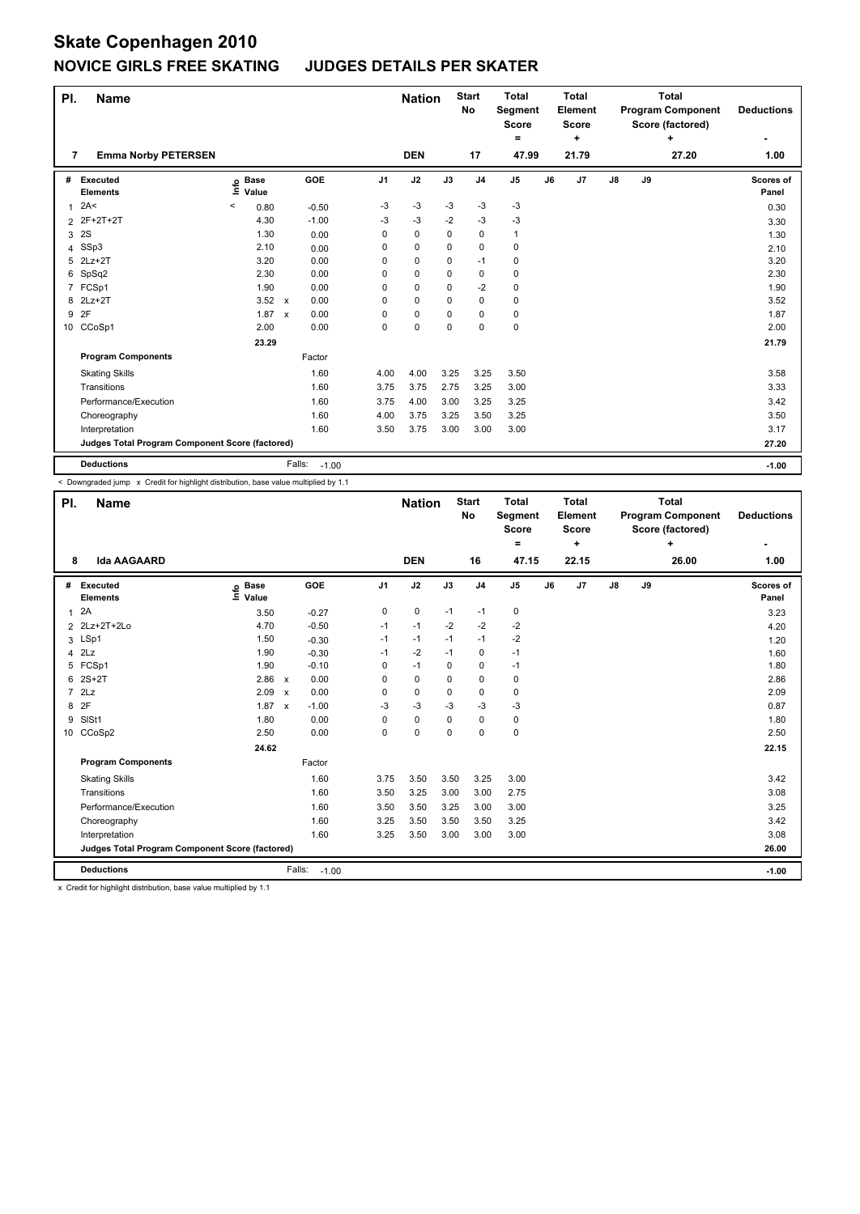| PI.            | <b>Name</b>                                     |                              |              |                   |                | <b>Nation</b> |          | <b>Start</b><br><b>No</b> | <b>Total</b><br>Segment<br><b>Score</b><br>۰ |    | <b>Total</b><br>Element<br><b>Score</b><br>٠ |               |    | <b>Total</b><br><b>Program Component</b><br>Score (factored)<br>÷ | <b>Deductions</b>         |
|----------------|-------------------------------------------------|------------------------------|--------------|-------------------|----------------|---------------|----------|---------------------------|----------------------------------------------|----|----------------------------------------------|---------------|----|-------------------------------------------------------------------|---------------------------|
| 7              | <b>Emma Norby PETERSEN</b>                      |                              |              |                   |                | <b>DEN</b>    |          | 17                        | 47.99                                        |    | 21.79                                        |               |    | 27.20                                                             | 1.00                      |
| #              | Executed<br><b>Elements</b>                     | <b>Base</b><br>١nfo<br>Value |              | GOE               | J <sub>1</sub> | J2            | J3       | J <sub>4</sub>            | J <sub>5</sub>                               | J6 | J7                                           | $\mathsf{J}8$ | J9 |                                                                   | <b>Scores of</b><br>Panel |
| 1              | 2A<                                             | <<br>0.80                    |              | $-0.50$           | $-3$           | $-3$          | $-3$     | $-3$                      | $-3$                                         |    |                                              |               |    |                                                                   | 0.30                      |
| $\overline{2}$ | 2F+2T+2T                                        | 4.30                         |              | $-1.00$           | $-3$           | $-3$          | $-2$     | $-3$                      | $-3$                                         |    |                                              |               |    |                                                                   | 3.30                      |
| 3              | 2S                                              | 1.30                         |              | 0.00              | 0              | $\mathbf 0$   | 0        | $\mathbf 0$               | $\mathbf{1}$                                 |    |                                              |               |    |                                                                   | 1.30                      |
|                | 4 SSp3                                          | 2.10                         |              | 0.00              | 0              | $\mathbf 0$   | $\Omega$ | 0                         | $\pmb{0}$                                    |    |                                              |               |    |                                                                   | 2.10                      |
| 5              | $2Lz+2T$                                        | 3.20                         |              | 0.00              | 0              | $\mathbf 0$   | $\Omega$ | -1                        | 0                                            |    |                                              |               |    |                                                                   | 3.20                      |
|                | 6 SpSq2                                         | 2.30                         |              | 0.00              | 0              | $\mathbf 0$   | 0        | 0                         | 0                                            |    |                                              |               |    |                                                                   | 2.30                      |
| 7              | FCSp1                                           | 1.90                         |              | 0.00              | 0              | $\mathbf 0$   | 0        | $-2$                      | 0                                            |    |                                              |               |    |                                                                   | 1.90                      |
|                | 8 2Lz+2T                                        | $3.52 \times$                |              | 0.00              | 0              | $\mathbf 0$   | $\Omega$ | 0                         | 0                                            |    |                                              |               |    |                                                                   | 3.52                      |
| 9              | 2F                                              | 1.87                         | $\mathsf{x}$ | 0.00              | 0              | $\pmb{0}$     | 0        | 0                         | $\pmb{0}$                                    |    |                                              |               |    |                                                                   | 1.87                      |
|                | 10 CCoSp1                                       | 2.00                         |              | 0.00              | 0              | $\mathbf 0$   | 0        | 0                         | $\pmb{0}$                                    |    |                                              |               |    |                                                                   | 2.00                      |
|                |                                                 | 23.29                        |              |                   |                |               |          |                           |                                              |    |                                              |               |    |                                                                   | 21.79                     |
|                | <b>Program Components</b>                       |                              |              | Factor            |                |               |          |                           |                                              |    |                                              |               |    |                                                                   |                           |
|                | <b>Skating Skills</b>                           |                              |              | 1.60              | 4.00           | 4.00          | 3.25     | 3.25                      | 3.50                                         |    |                                              |               |    |                                                                   | 3.58                      |
|                | Transitions                                     |                              |              | 1.60              | 3.75           | 3.75          | 2.75     | 3.25                      | 3.00                                         |    |                                              |               |    |                                                                   | 3.33                      |
|                | Performance/Execution                           |                              |              | 1.60              | 3.75           | 4.00          | 3.00     | 3.25                      | 3.25                                         |    |                                              |               |    |                                                                   | 3.42                      |
|                | Choreography                                    |                              |              | 1.60              | 4.00           | 3.75          | 3.25     | 3.50                      | 3.25                                         |    |                                              |               |    |                                                                   | 3.50                      |
|                | Interpretation                                  |                              |              | 1.60              | 3.50           | 3.75          | 3.00     | 3.00                      | 3.00                                         |    |                                              |               |    |                                                                   | 3.17                      |
|                | Judges Total Program Component Score (factored) |                              |              |                   |                |               |          |                           |                                              |    |                                              |               |    |                                                                   | 27.20                     |
|                | <b>Deductions</b>                               |                              |              | Falls:<br>$-1.00$ |                |               |          |                           |                                              |    |                                              |               |    |                                                                   | $-1.00$                   |

< Downgraded jump x Credit for highlight distribution, base value multiplied by 1.1

| PI. | <b>Name</b>                                     |                            |                           |            |                | <b>Nation</b> |          | <b>Start</b><br><b>No</b> | <b>Total</b><br>Segment<br><b>Score</b><br>$\equiv$ |    | <b>Total</b><br>Element<br><b>Score</b><br>٠ |               |    | <b>Total</b><br><b>Program Component</b><br>Score (factored)<br>٠ | <b>Deductions</b>  |
|-----|-------------------------------------------------|----------------------------|---------------------------|------------|----------------|---------------|----------|---------------------------|-----------------------------------------------------|----|----------------------------------------------|---------------|----|-------------------------------------------------------------------|--------------------|
| 8   | <b>Ida AAGAARD</b>                              |                            |                           |            |                | <b>DEN</b>    |          | 16                        | 47.15                                               |    | 22.15                                        |               |    | 26.00                                                             | 1.00               |
| #   | Executed<br><b>Elements</b>                     | e Base<br>⊆ Value<br>Value |                           | <b>GOE</b> | J <sub>1</sub> | J2            | J3       | J <sub>4</sub>            | J <sub>5</sub>                                      | J6 | J7                                           | $\mathsf{J}8$ | J9 |                                                                   | Scores of<br>Panel |
| 1   | 2A                                              | 3.50                       |                           | $-0.27$    | 0              | 0             | $-1$     | $-1$                      | 0                                                   |    |                                              |               |    |                                                                   | 3.23               |
|     | 2 2Lz+2T+2Lo                                    | 4.70                       |                           | $-0.50$    | $-1$           | $-1$          | $-2$     | $-2$                      | $-2$                                                |    |                                              |               |    |                                                                   | 4.20               |
|     | 3 LSp1                                          | 1.50                       |                           | $-0.30$    | $-1$           | $-1$          | $-1$     | $-1$                      | $-2$                                                |    |                                              |               |    |                                                                   | 1.20               |
|     | $4$ $2Lz$                                       | 1.90                       |                           | $-0.30$    | $-1$           | $-2$          | $-1$     | $\mathbf 0$               | $-1$                                                |    |                                              |               |    |                                                                   | 1.60               |
|     | 5 FCSp1                                         | 1.90                       |                           | $-0.10$    | $\Omega$       | $-1$          | $\Omega$ | $\mathbf 0$               | $-1$                                                |    |                                              |               |    |                                                                   | 1.80               |
| 6   | $2S+2T$                                         | 2.86                       | $\boldsymbol{\mathsf{x}}$ | 0.00       | 0              | 0             | 0        | $\mathbf 0$               | 0                                                   |    |                                              |               |    |                                                                   | 2.86               |
|     | 7 2Lz                                           | 2.09                       | $\boldsymbol{\mathsf{x}}$ | 0.00       | 0              | $\mathbf 0$   | 0        | 0                         | 0                                                   |    |                                              |               |    |                                                                   | 2.09               |
| 8   | 2F                                              | 1.87                       | $\boldsymbol{\mathsf{x}}$ | $-1.00$    | $-3$           | $-3$          | $-3$     | $-3$                      | $-3$                                                |    |                                              |               |    |                                                                   | 0.87               |
| 9   | SISt1                                           | 1.80                       |                           | 0.00       | $\Omega$       | $\mathbf 0$   | 0        | $\mathbf 0$               | 0                                                   |    |                                              |               |    |                                                                   | 1.80               |
| 10  | CCoSp2                                          | 2.50                       |                           | 0.00       | $\Omega$       | $\mathbf 0$   | $\Omega$ | $\mathbf 0$               | 0                                                   |    |                                              |               |    |                                                                   | 2.50               |
|     |                                                 | 24.62                      |                           |            |                |               |          |                           |                                                     |    |                                              |               |    |                                                                   | 22.15              |
|     | <b>Program Components</b>                       |                            |                           | Factor     |                |               |          |                           |                                                     |    |                                              |               |    |                                                                   |                    |
|     | <b>Skating Skills</b>                           |                            |                           | 1.60       | 3.75           | 3.50          | 3.50     | 3.25                      | 3.00                                                |    |                                              |               |    |                                                                   | 3.42               |
|     | Transitions                                     |                            |                           | 1.60       | 3.50           | 3.25          | 3.00     | 3.00                      | 2.75                                                |    |                                              |               |    |                                                                   | 3.08               |
|     | Performance/Execution                           |                            |                           | 1.60       | 3.50           | 3.50          | 3.25     | 3.00                      | 3.00                                                |    |                                              |               |    |                                                                   | 3.25               |
|     | Choreography                                    |                            |                           | 1.60       | 3.25           | 3.50          | 3.50     | 3.50                      | 3.25                                                |    |                                              |               |    |                                                                   | 3.42               |
|     | Interpretation                                  |                            |                           | 1.60       | 3.25           | 3.50          | 3.00     | 3.00                      | 3.00                                                |    |                                              |               |    |                                                                   | 3.08               |
|     | Judges Total Program Component Score (factored) |                            |                           |            |                |               |          |                           |                                                     |    |                                              |               |    |                                                                   | 26.00              |
|     | <b>Deductions</b>                               |                            | Falls:                    | $-1.00$    |                |               |          |                           |                                                     |    |                                              |               |    |                                                                   | $-1.00$            |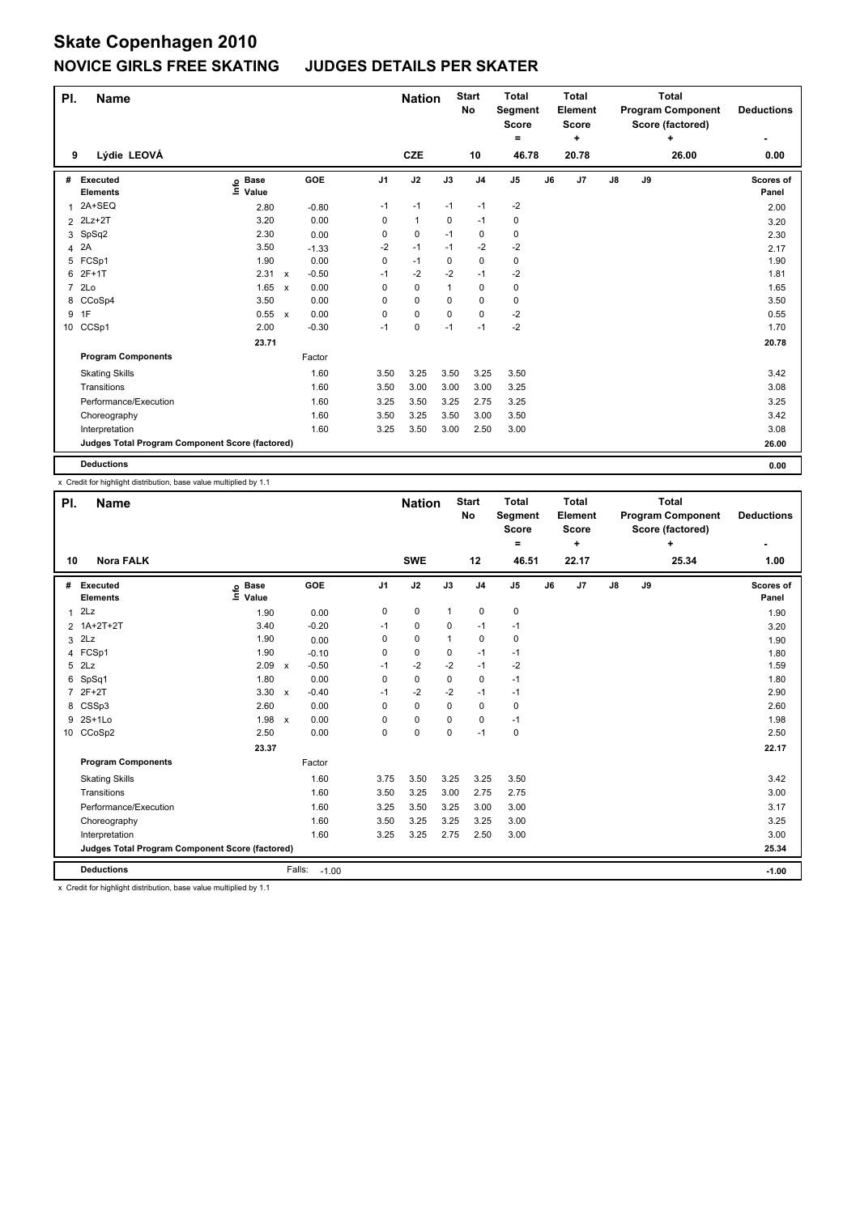| PI.            | <b>Name</b>                                     |                              |              |         |                | <b>Nation</b> |          | <b>Start</b><br>No | <b>Total</b><br><b>Segment</b><br><b>Score</b><br>۰ |    | <b>Total</b><br>Element<br><b>Score</b><br>٠ |               |    | <b>Total</b><br><b>Program Component</b><br>Score (factored)<br>٠ | <b>Deductions</b>  |
|----------------|-------------------------------------------------|------------------------------|--------------|---------|----------------|---------------|----------|--------------------|-----------------------------------------------------|----|----------------------------------------------|---------------|----|-------------------------------------------------------------------|--------------------|
| 9              | Lýdie LEOVÁ                                     |                              |              |         |                | <b>CZE</b>    |          | 10                 | 46.78                                               |    | 20.78                                        |               |    | 26.00                                                             | 0.00               |
| #              | Executed<br><b>Elements</b>                     | <b>Base</b><br>١nfo<br>Value |              | GOE     | J <sub>1</sub> | J2            | J3       | J <sub>4</sub>     | J <sub>5</sub>                                      | J6 | J7                                           | $\mathsf{J}8$ | J9 |                                                                   | Scores of<br>Panel |
|                | 2A+SEQ                                          | 2.80                         |              | $-0.80$ | $-1$           | $-1$          | $-1$     | $-1$               | $-2$                                                |    |                                              |               |    |                                                                   | 2.00               |
|                | 2 2Lz+2T                                        | 3.20                         |              | 0.00    | 0              | $\mathbf{1}$  | 0        | $-1$               | 0                                                   |    |                                              |               |    |                                                                   | 3.20               |
|                | 3 SpSq2                                         | 2.30                         |              | 0.00    | 0              | 0             | $-1$     | 0                  | 0                                                   |    |                                              |               |    |                                                                   | 2.30               |
| 4              | 2A                                              | 3.50                         |              | $-1.33$ | $-2$           | $-1$          | $-1$     | $-2$               | $-2$                                                |    |                                              |               |    |                                                                   | 2.17               |
| 5              | FCSp1                                           | 1.90                         |              | 0.00    | 0              | $-1$          | 0        | $\mathbf 0$        | $\pmb{0}$                                           |    |                                              |               |    |                                                                   | 1.90               |
|                | 6 2F+1T                                         | 2.31 x                       |              | $-0.50$ | $-1$           | $-2$          | $-2$     | $-1$               | $-2$                                                |    |                                              |               |    |                                                                   | 1.81               |
| $\overline{7}$ | 2Lo                                             | 1.65                         | $\mathsf{x}$ | 0.00    | 0              | $\mathbf 0$   | 1        | 0                  | $\mathbf 0$                                         |    |                                              |               |    |                                                                   | 1.65               |
|                | 8 CCoSp4                                        | 3.50                         |              | 0.00    | 0              | $\mathbf 0$   | $\Omega$ | 0                  | 0                                                   |    |                                              |               |    |                                                                   | 3.50               |
| 9              | 1F                                              | 0.55                         | $\mathsf{x}$ | 0.00    | 0              | $\mathbf 0$   | $\Omega$ | $\mathbf 0$        | $-2$                                                |    |                                              |               |    |                                                                   | 0.55               |
|                | 10 CCSp1                                        | 2.00                         |              | $-0.30$ | $-1$           | $\mathbf 0$   | $-1$     | $-1$               | $-2$                                                |    |                                              |               |    |                                                                   | 1.70               |
|                |                                                 | 23.71                        |              |         |                |               |          |                    |                                                     |    |                                              |               |    |                                                                   | 20.78              |
|                | <b>Program Components</b>                       |                              |              | Factor  |                |               |          |                    |                                                     |    |                                              |               |    |                                                                   |                    |
|                | <b>Skating Skills</b>                           |                              |              | 1.60    | 3.50           | 3.25          | 3.50     | 3.25               | 3.50                                                |    |                                              |               |    |                                                                   | 3.42               |
|                | Transitions                                     |                              |              | 1.60    | 3.50           | 3.00          | 3.00     | 3.00               | 3.25                                                |    |                                              |               |    |                                                                   | 3.08               |
|                | Performance/Execution                           |                              |              | 1.60    | 3.25           | 3.50          | 3.25     | 2.75               | 3.25                                                |    |                                              |               |    |                                                                   | 3.25               |
|                | Choreography                                    |                              |              | 1.60    | 3.50           | 3.25          | 3.50     | 3.00               | 3.50                                                |    |                                              |               |    |                                                                   | 3.42               |
|                | Interpretation                                  |                              |              | 1.60    | 3.25           | 3.50          | 3.00     | 2.50               | 3.00                                                |    |                                              |               |    |                                                                   | 3.08               |
|                | Judges Total Program Component Score (factored) |                              |              |         |                |               |          |                    |                                                     |    |                                              |               |    |                                                                   | 26.00              |
|                | <b>Deductions</b>                               |                              |              |         |                |               |          |                    |                                                     |    |                                              |               |    |                                                                   | 0.00               |

x Credit for highlight distribution, base value multiplied by 1.1

| PI.            | <b>Name</b>                                     |                            |                           |         |                | <b>Nation</b> |              | <b>Start</b><br>No | <b>Total</b><br>Segment<br><b>Score</b><br>$\equiv$ |    | <b>Total</b><br>Element<br><b>Score</b><br>٠ |    |    | <b>Total</b><br><b>Program Component</b><br>Score (factored)<br>+ | <b>Deductions</b><br>$\overline{\phantom{0}}$ |
|----------------|-------------------------------------------------|----------------------------|---------------------------|---------|----------------|---------------|--------------|--------------------|-----------------------------------------------------|----|----------------------------------------------|----|----|-------------------------------------------------------------------|-----------------------------------------------|
| 10             | <b>Nora FALK</b>                                |                            |                           |         |                | <b>SWE</b>    |              | 12                 | 46.51                                               |    | 22.17                                        |    |    | 25.34                                                             | 1.00                                          |
| #              | Executed<br><b>Elements</b>                     | e Base<br>⊑ Value<br>Value |                           | GOE     | J <sub>1</sub> | J2            | J3           | J <sub>4</sub>     | J5                                                  | J6 | J7                                           | J8 | J9 |                                                                   | <b>Scores of</b><br>Panel                     |
| $\mathbf{1}$   | 2Lz                                             | 1.90                       |                           | 0.00    | 0              | 0             | $\mathbf{1}$ | $\mathbf 0$        | 0                                                   |    |                                              |    |    |                                                                   | 1.90                                          |
|                | 2 1A+2T+2T                                      | 3.40                       |                           | $-0.20$ | $-1$           | 0             | 0            | $-1$               | $-1$                                                |    |                                              |    |    |                                                                   | 3.20                                          |
| 3              | 2Lz                                             | 1.90                       |                           | 0.00    | $\Omega$       | 0             | 1            | 0                  | 0                                                   |    |                                              |    |    |                                                                   | 1.90                                          |
|                | 4 FCSp1                                         | 1.90                       |                           | $-0.10$ | 0              | 0             | 0            | $-1$               | $-1$                                                |    |                                              |    |    |                                                                   | 1.80                                          |
| 5              | 2Lz                                             | 2.09                       | $\boldsymbol{\mathsf{x}}$ | $-0.50$ | $-1$           | $-2$          | $-2$         | $-1$               | $-2$                                                |    |                                              |    |    |                                                                   | 1.59                                          |
| 6              | SpSq1                                           | 1.80                       |                           | 0.00    | 0              | 0             | $\Omega$     | 0                  | $-1$                                                |    |                                              |    |    |                                                                   | 1.80                                          |
| $\overline{7}$ | $2F+2T$                                         | $3.30 \times$              |                           | $-0.40$ | $-1$           | $-2$          | $-2$         | $-1$               | $-1$                                                |    |                                              |    |    |                                                                   | 2.90                                          |
| 8              | CSSp3                                           | 2.60                       |                           | 0.00    | $\Omega$       | 0             | $\Omega$     | $\Omega$           | 0                                                   |    |                                              |    |    |                                                                   | 2.60                                          |
|                | 9 2S+1Lo                                        | 1.98                       | $\mathsf{x}$              | 0.00    | 0              | $\Omega$      | $\Omega$     | $\mathbf 0$        | $-1$                                                |    |                                              |    |    |                                                                   | 1.98                                          |
|                | 10 CCoSp2                                       | 2.50                       |                           | 0.00    | 0              | 0             | $\mathbf 0$  | $-1$               | 0                                                   |    |                                              |    |    |                                                                   | 2.50                                          |
|                |                                                 | 23.37                      |                           |         |                |               |              |                    |                                                     |    |                                              |    |    |                                                                   | 22.17                                         |
|                | <b>Program Components</b>                       |                            |                           | Factor  |                |               |              |                    |                                                     |    |                                              |    |    |                                                                   |                                               |
|                | <b>Skating Skills</b>                           |                            |                           | 1.60    | 3.75           | 3.50          | 3.25         | 3.25               | 3.50                                                |    |                                              |    |    |                                                                   | 3.42                                          |
|                | Transitions                                     |                            |                           | 1.60    | 3.50           | 3.25          | 3.00         | 2.75               | 2.75                                                |    |                                              |    |    |                                                                   | 3.00                                          |
|                | Performance/Execution                           |                            |                           | 1.60    | 3.25           | 3.50          | 3.25         | 3.00               | 3.00                                                |    |                                              |    |    |                                                                   | 3.17                                          |
|                | Choreography                                    |                            |                           | 1.60    | 3.50           | 3.25          | 3.25         | 3.25               | 3.00                                                |    |                                              |    |    |                                                                   | 3.25                                          |
|                | Interpretation                                  |                            |                           | 1.60    | 3.25           | 3.25          | 2.75         | 2.50               | 3.00                                                |    |                                              |    |    |                                                                   | 3.00                                          |
|                | Judges Total Program Component Score (factored) |                            |                           |         |                |               |              |                    |                                                     |    |                                              |    |    |                                                                   | 25.34                                         |
|                | <b>Deductions</b>                               |                            | Falls:                    | $-1.00$ |                |               |              |                    |                                                     |    |                                              |    |    |                                                                   | $-1.00$                                       |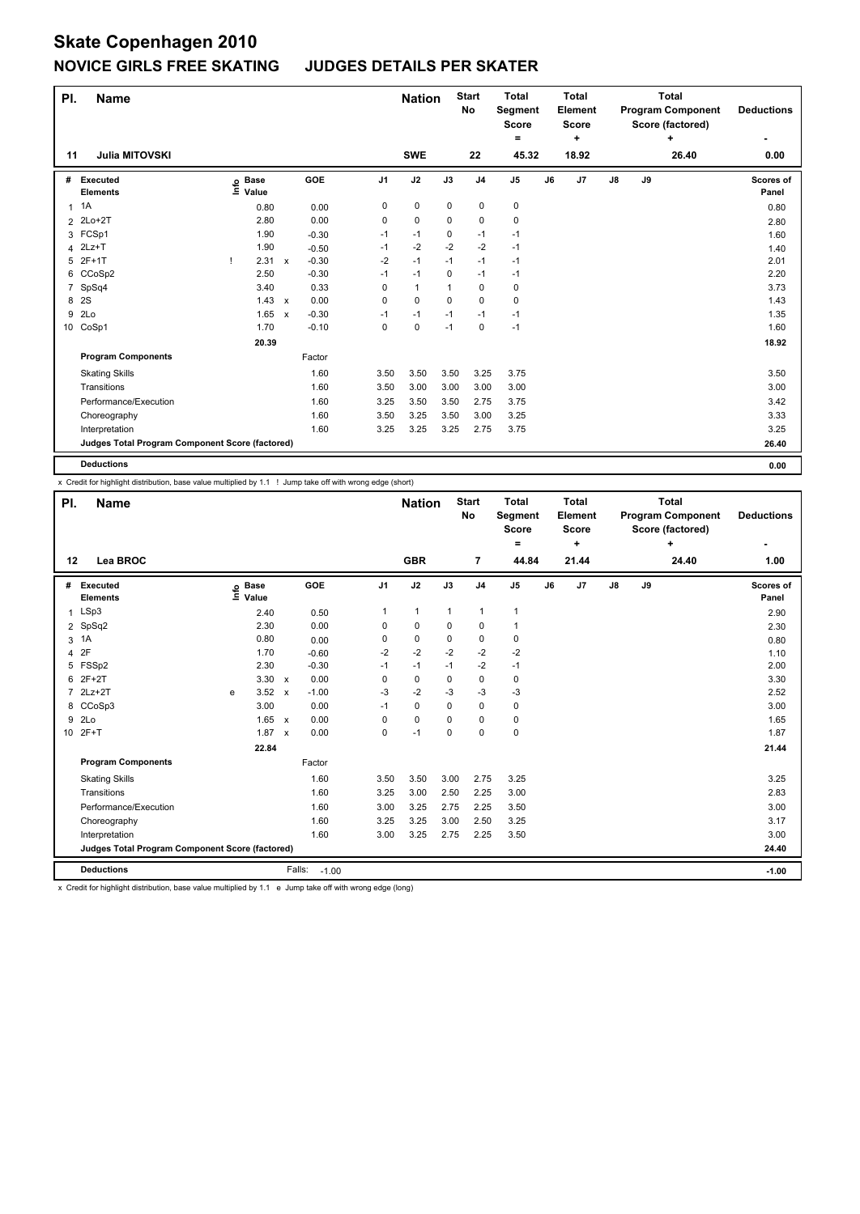| PI.            | <b>Name</b>                                     |      |                      |              |         |                | <b>Nation</b> |          | <b>Start</b><br>No | <b>Total</b><br>Segment<br><b>Score</b><br>۰ |    | <b>Total</b><br>Element<br><b>Score</b><br>٠ |               |    | <b>Total</b><br><b>Program Component</b><br>Score (factored)<br>٠ | <b>Deductions</b>  |
|----------------|-------------------------------------------------|------|----------------------|--------------|---------|----------------|---------------|----------|--------------------|----------------------------------------------|----|----------------------------------------------|---------------|----|-------------------------------------------------------------------|--------------------|
| 11             | <b>Julia MITOVSKI</b>                           |      |                      |              |         |                | <b>SWE</b>    |          | 22                 | 45.32                                        |    | 18.92                                        |               |    | 26.40                                                             | 0.00               |
| #              | Executed<br><b>Elements</b>                     | ١nfo | <b>Base</b><br>Value |              | GOE     | J <sub>1</sub> | J2            | J3       | J <sub>4</sub>     | J <sub>5</sub>                               | J6 | J7                                           | $\mathsf{J}8$ | J9 |                                                                   | Scores of<br>Panel |
| 1              | 1A                                              |      | 0.80                 |              | 0.00    | 0              | $\mathbf 0$   | 0        | $\mathbf 0$        | $\pmb{0}$                                    |    |                                              |               |    |                                                                   | 0.80               |
| $\overline{2}$ | $2Lo+2T$                                        |      | 2.80                 |              | 0.00    | 0              | $\pmb{0}$     | 0        | 0                  | $\pmb{0}$                                    |    |                                              |               |    |                                                                   | 2.80               |
|                | 3 FCSp1                                         |      | 1.90                 |              | $-0.30$ | $-1$           | $-1$          | 0        | -1                 | $-1$                                         |    |                                              |               |    |                                                                   | 1.60               |
|                | 4 2Lz+T                                         |      | 1.90                 |              | $-0.50$ | $-1$           | $-2$          | $-2$     | $-2$               | $-1$                                         |    |                                              |               |    |                                                                   | 1.40               |
| 5              | 2F+1T                                           |      | 2.31                 | $\mathsf{x}$ | $-0.30$ | $-2$           | $-1$          | $-1$     | $-1$               | $-1$                                         |    |                                              |               |    |                                                                   | 2.01               |
|                | 6 CCoSp2                                        |      | 2.50                 |              | $-0.30$ | $-1$           | $-1$          | $\Omega$ | $-1$               | $-1$                                         |    |                                              |               |    |                                                                   | 2.20               |
| $\overline{7}$ | SpSq4                                           |      | 3.40                 |              | 0.33    | 0              | $\mathbf{1}$  | 1        | 0                  | 0                                            |    |                                              |               |    |                                                                   | 3.73               |
| 8              | 2S                                              |      | 1.43                 | $\mathsf{x}$ | 0.00    | 0              | $\mathbf 0$   | $\Omega$ | 0                  | 0                                            |    |                                              |               |    |                                                                   | 1.43               |
| 9              | 2Lo                                             |      | 1.65                 | $\mathsf{x}$ | $-0.30$ | $-1$           | $-1$          | $-1$     | $-1$               | $-1$                                         |    |                                              |               |    |                                                                   | 1.35               |
|                | 10 CoSp1                                        |      | 1.70                 |              | $-0.10$ | 0              | $\mathbf 0$   | $-1$     | $\mathbf 0$        | $-1$                                         |    |                                              |               |    |                                                                   | 1.60               |
|                |                                                 |      | 20.39                |              |         |                |               |          |                    |                                              |    |                                              |               |    |                                                                   | 18.92              |
|                | <b>Program Components</b>                       |      |                      |              | Factor  |                |               |          |                    |                                              |    |                                              |               |    |                                                                   |                    |
|                | <b>Skating Skills</b>                           |      |                      |              | 1.60    | 3.50           | 3.50          | 3.50     | 3.25               | 3.75                                         |    |                                              |               |    |                                                                   | 3.50               |
|                | Transitions                                     |      |                      |              | 1.60    | 3.50           | 3.00          | 3.00     | 3.00               | 3.00                                         |    |                                              |               |    |                                                                   | 3.00               |
|                | Performance/Execution                           |      |                      |              | 1.60    | 3.25           | 3.50          | 3.50     | 2.75               | 3.75                                         |    |                                              |               |    |                                                                   | 3.42               |
|                | Choreography                                    |      |                      |              | 1.60    | 3.50           | 3.25          | 3.50     | 3.00               | 3.25                                         |    |                                              |               |    |                                                                   | 3.33               |
|                | Interpretation                                  |      |                      |              | 1.60    | 3.25           | 3.25          | 3.25     | 2.75               | 3.75                                         |    |                                              |               |    |                                                                   | 3.25               |
|                | Judges Total Program Component Score (factored) |      |                      |              |         |                |               |          |                    |                                              |    |                                              |               |    |                                                                   | 26.40              |
|                | <b>Deductions</b>                               |      |                      |              |         |                |               |          |                    |                                              |    |                                              |               |    |                                                                   | 0.00               |

x Credit for highlight distribution, base value multiplied by 1.1 ! Jump take off with wrong edge (short)

| PI.             | <b>Name</b>                                     |      |                      |                           |                   |                | <b>Nation</b> |              | <b>Start</b><br>No | <b>Total</b><br>Segment<br><b>Score</b><br>= |    | <b>Total</b><br>Element<br><b>Score</b><br>٠ |               |    | <b>Total</b><br><b>Program Component</b><br>Score (factored)<br>٠ | <b>Deductions</b>         |
|-----------------|-------------------------------------------------|------|----------------------|---------------------------|-------------------|----------------|---------------|--------------|--------------------|----------------------------------------------|----|----------------------------------------------|---------------|----|-------------------------------------------------------------------|---------------------------|
| 12              | Lea BROC                                        |      |                      |                           |                   |                | <b>GBR</b>    |              | $\overline{7}$     | 44.84                                        |    | 21.44                                        |               |    | 24.40                                                             | 1.00                      |
| #               | Executed<br><b>Elements</b>                     | Info | <b>Base</b><br>Value |                           | GOE               | J <sub>1</sub> | J2            | J3           | J <sub>4</sub>     | J <sub>5</sub>                               | J6 | J7                                           | $\mathsf{J}8$ | J9 |                                                                   | <b>Scores of</b><br>Panel |
| 1               | LSp3                                            |      | 2.40                 |                           | 0.50              | 1              | $\mathbf{1}$  | $\mathbf{1}$ | $\mathbf{1}$       | $\mathbf{1}$                                 |    |                                              |               |    |                                                                   | 2.90                      |
| $\overline{2}$  | SpSq2                                           |      | 2.30                 |                           | 0.00              | 0              | 0             | $\Omega$     | 0                  | $\mathbf{1}$                                 |    |                                              |               |    |                                                                   | 2.30                      |
| 3               | 1A                                              |      | 0.80                 |                           | 0.00              | 0              | 0             | 0            | 0                  | 0                                            |    |                                              |               |    |                                                                   | 0.80                      |
| 4               | 2F                                              |      | 1.70                 |                           | $-0.60$           | $-2$           | $-2$          | $-2$         | $-2$               | $-2$                                         |    |                                              |               |    |                                                                   | 1.10                      |
| 5               | FSSp2                                           |      | 2.30                 |                           | $-0.30$           | $-1$           | $-1$          | $-1$         | $-2$               | $-1$                                         |    |                                              |               |    |                                                                   | 2.00                      |
| 6               | $2F+2T$                                         |      | 3.30                 | $\mathsf{x}$              | 0.00              | 0              | $\pmb{0}$     | 0            | $\mathbf 0$        | 0                                            |    |                                              |               |    |                                                                   | 3.30                      |
| $\overline{7}$  | $2Lz+2T$                                        | e    | 3.52                 | $\boldsymbol{\mathsf{x}}$ | $-1.00$           | -3             | $-2$          | -3           | -3                 | -3                                           |    |                                              |               |    |                                                                   | 2.52                      |
|                 | 8 CCoSp3                                        |      | 3.00                 |                           | 0.00              | $-1$           | $\mathbf 0$   | $\Omega$     | $\mathbf 0$        | 0                                            |    |                                              |               |    |                                                                   | 3.00                      |
| 9               | 2 <sub>LO</sub>                                 |      | 1.65                 | $\mathsf{x}$              | 0.00              | $\Omega$       | $\mathbf 0$   | $\Omega$     | $\mathbf 0$        | $\mathbf 0$                                  |    |                                              |               |    |                                                                   | 1.65                      |
| 10 <sup>1</sup> | $2F+T$                                          |      | 1.87                 | $\mathsf{x}$              | 0.00              | $\mathbf 0$    | $-1$          | $\mathbf 0$  | $\mathbf 0$        | $\pmb{0}$                                    |    |                                              |               |    |                                                                   | 1.87                      |
|                 |                                                 |      | 22.84                |                           |                   |                |               |              |                    |                                              |    |                                              |               |    |                                                                   | 21.44                     |
|                 | <b>Program Components</b>                       |      |                      |                           | Factor            |                |               |              |                    |                                              |    |                                              |               |    |                                                                   |                           |
|                 | <b>Skating Skills</b>                           |      |                      |                           | 1.60              | 3.50           | 3.50          | 3.00         | 2.75               | 3.25                                         |    |                                              |               |    |                                                                   | 3.25                      |
|                 | Transitions                                     |      |                      |                           | 1.60              | 3.25           | 3.00          | 2.50         | 2.25               | 3.00                                         |    |                                              |               |    |                                                                   | 2.83                      |
|                 | Performance/Execution                           |      |                      |                           | 1.60              | 3.00           | 3.25          | 2.75         | 2.25               | 3.50                                         |    |                                              |               |    |                                                                   | 3.00                      |
|                 | Choreography                                    |      |                      |                           | 1.60              | 3.25           | 3.25          | 3.00         | 2.50               | 3.25                                         |    |                                              |               |    |                                                                   | 3.17                      |
|                 | Interpretation                                  |      |                      |                           | 1.60              | 3.00           | 3.25          | 2.75         | 2.25               | 3.50                                         |    |                                              |               |    |                                                                   | 3.00                      |
|                 | Judges Total Program Component Score (factored) |      |                      |                           |                   |                |               |              |                    |                                              |    |                                              |               |    |                                                                   | 24.40                     |
|                 | <b>Deductions</b>                               |      |                      |                           | Falls:<br>$-1.00$ |                |               |              |                    |                                              |    |                                              |               |    |                                                                   | $-1.00$                   |

x Credit for highlight distribution, base value multiplied by 1.1 e Jump take off with wrong edge (long)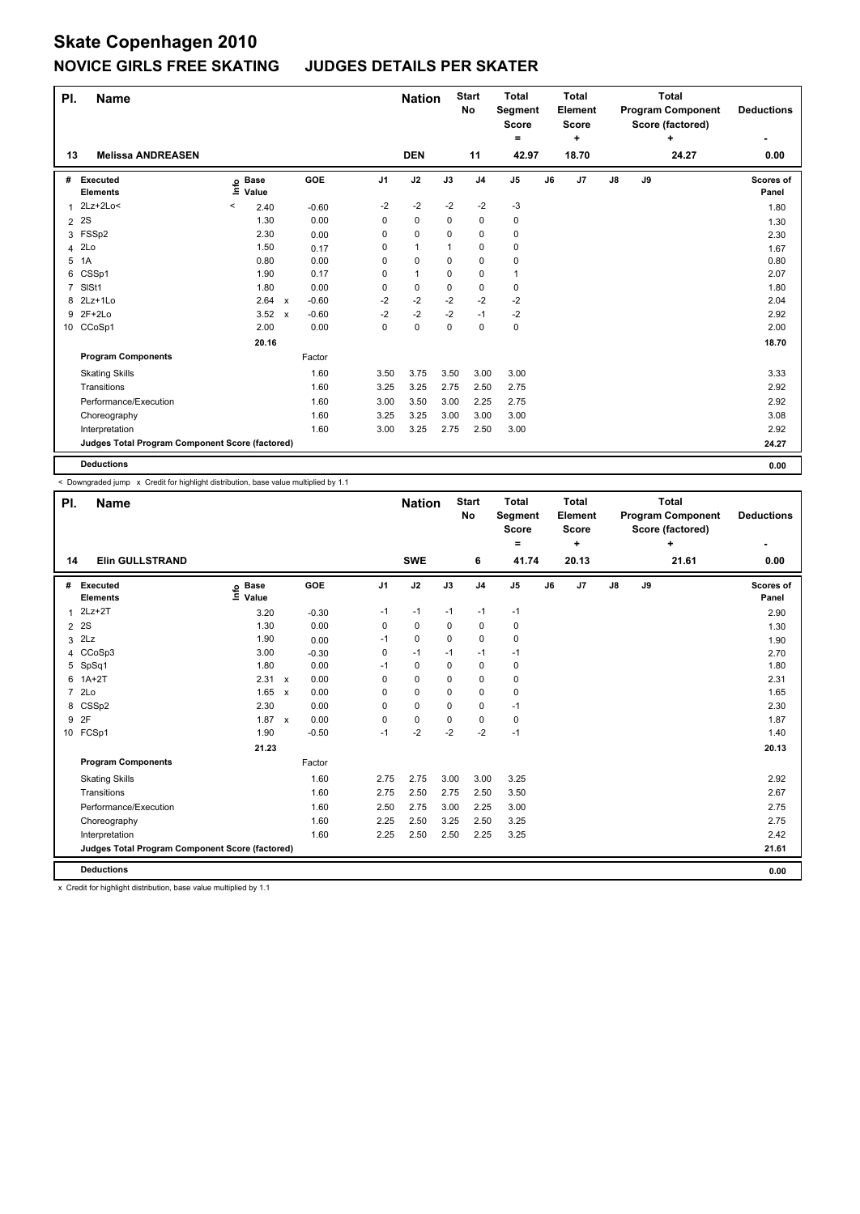| PI.            | <b>Name</b>                                     |                              |              |         |                | <b>Nation</b> |      | <b>Start</b><br>No | <b>Total</b><br>Segment<br><b>Score</b><br>$=$ |    | <b>Total</b><br>Element<br><b>Score</b><br>٠ |               |    | <b>Total</b><br><b>Program Component</b><br>Score (factored)<br>٠ | <b>Deductions</b>  |
|----------------|-------------------------------------------------|------------------------------|--------------|---------|----------------|---------------|------|--------------------|------------------------------------------------|----|----------------------------------------------|---------------|----|-------------------------------------------------------------------|--------------------|
| 13             | <b>Melissa ANDREASEN</b>                        |                              |              |         |                | <b>DEN</b>    |      | 11                 | 42.97                                          |    | 18.70                                        |               |    | 24.27                                                             | 0.00               |
| #              | Executed<br><b>Elements</b>                     | <b>Base</b><br>١ifo<br>Value |              | GOE     | J <sub>1</sub> | J2            | J3   | J <sub>4</sub>     | $\mathsf{J}5$                                  | J6 | J7                                           | $\mathsf{J}8$ | J9 |                                                                   | Scores of<br>Panel |
|                | $2Lz+2Lo<$                                      | 2.40<br>$\,<\,$              |              | $-0.60$ | $-2$           | $-2$          | $-2$ | $-2$               | $-3$                                           |    |                                              |               |    |                                                                   | 1.80               |
| 2              | 2S                                              | 1.30                         |              | 0.00    | 0              | 0             | 0    | 0                  | $\pmb{0}$                                      |    |                                              |               |    |                                                                   | 1.30               |
|                | 3 FSSp2                                         | 2.30                         |              | 0.00    | 0              | 0             | 0    | 0                  | 0                                              |    |                                              |               |    |                                                                   | 2.30               |
|                | 4 2Lo                                           | 1.50                         |              | 0.17    | 0              | 1             | 1    | 0                  | 0                                              |    |                                              |               |    |                                                                   | 1.67               |
| 5              | 1A                                              | 0.80                         |              | 0.00    | 0              | 0             | 0    | 0                  | 0                                              |    |                                              |               |    |                                                                   | 0.80               |
|                | 6 CSSp1                                         | 1.90                         |              | 0.17    | 0              | $\mathbf{1}$  | 0    | $\mathbf 0$        | $\overline{1}$                                 |    |                                              |               |    |                                                                   | 2.07               |
| $\overline{7}$ | SIS <sub>t1</sub>                               | 1.80                         |              | 0.00    | 0              | 0             | 0    | 0                  | 0                                              |    |                                              |               |    |                                                                   | 1.80               |
| 8              | 2Lz+1Lo                                         | 2.64                         | $\mathsf{x}$ | $-0.60$ | $-2$           | $-2$          | $-2$ | $-2$               | $-2$                                           |    |                                              |               |    |                                                                   | 2.04               |
|                | 9 2F+2Lo                                        | 3.52                         | $\mathsf{x}$ | $-0.60$ | $-2$           | $-2$          | $-2$ | $-1$               | $-2$                                           |    |                                              |               |    |                                                                   | 2.92               |
|                | 10 CCoSp1                                       | 2.00                         |              | 0.00    | $\Omega$       | 0             | 0    | 0                  | $\mathbf 0$                                    |    |                                              |               |    |                                                                   | 2.00               |
|                |                                                 | 20.16                        |              |         |                |               |      |                    |                                                |    |                                              |               |    |                                                                   | 18.70              |
|                | <b>Program Components</b>                       |                              |              | Factor  |                |               |      |                    |                                                |    |                                              |               |    |                                                                   |                    |
|                | <b>Skating Skills</b>                           |                              |              | 1.60    | 3.50           | 3.75          | 3.50 | 3.00               | 3.00                                           |    |                                              |               |    |                                                                   | 3.33               |
|                | Transitions                                     |                              |              | 1.60    | 3.25           | 3.25          | 2.75 | 2.50               | 2.75                                           |    |                                              |               |    |                                                                   | 2.92               |
|                | Performance/Execution                           |                              |              | 1.60    | 3.00           | 3.50          | 3.00 | 2.25               | 2.75                                           |    |                                              |               |    |                                                                   | 2.92               |
|                | Choreography                                    |                              |              | 1.60    | 3.25           | 3.25          | 3.00 | 3.00               | 3.00                                           |    |                                              |               |    |                                                                   | 3.08               |
|                | Interpretation                                  |                              |              | 1.60    | 3.00           | 3.25          | 2.75 | 2.50               | 3.00                                           |    |                                              |               |    |                                                                   | 2.92               |
|                | Judges Total Program Component Score (factored) |                              |              |         |                |               |      |                    |                                                |    |                                              |               |    |                                                                   | 24.27              |
|                | <b>Deductions</b>                               |                              |              |         |                |               |      |                    |                                                |    |                                              |               |    |                                                                   | 0.00               |

< Downgraded jump x Credit for highlight distribution, base value multiplied by 1.1

| PI.            | <b>Name</b>                                     |                            |              |            |                | <b>Nation</b> |          | <b>Start</b><br>No | <b>Total</b><br><b>Segment</b><br><b>Score</b><br>$\equiv$ |    | <b>Total</b><br><b>Element</b><br><b>Score</b><br>÷ |               |    | <b>Total</b><br><b>Program Component</b><br>Score (factored)<br>÷ | <b>Deductions</b><br>٠ |
|----------------|-------------------------------------------------|----------------------------|--------------|------------|----------------|---------------|----------|--------------------|------------------------------------------------------------|----|-----------------------------------------------------|---------------|----|-------------------------------------------------------------------|------------------------|
| 14             | <b>Elin GULLSTRAND</b>                          |                            |              |            |                | <b>SWE</b>    |          | 6                  | 41.74                                                      |    | 20.13                                               |               |    | 21.61                                                             | 0.00                   |
| #              | <b>Executed</b><br><b>Elements</b>              | e Base<br>⊆ Value<br>Value |              | <b>GOE</b> | J <sub>1</sub> | J2            | J3       | J <sub>4</sub>     | J <sub>5</sub>                                             | J6 | J <sub>7</sub>                                      | $\mathsf{J}8$ | J9 |                                                                   | Scores of<br>Panel     |
| 1              | $2Lz+2T$                                        | 3.20                       |              | $-0.30$    | $-1$           | $-1$          | $-1$     | $-1$               | $-1$                                                       |    |                                                     |               |    |                                                                   | 2.90                   |
| $\overline{2}$ | 2S                                              | 1.30                       |              | 0.00       | 0              | $\pmb{0}$     | 0        | $\pmb{0}$          | $\pmb{0}$                                                  |    |                                                     |               |    |                                                                   | 1.30                   |
| 3              | 2Lz                                             | 1.90                       |              | 0.00       | $-1$           | $\mathbf 0$   | $\Omega$ | $\mathbf 0$        | $\mathbf 0$                                                |    |                                                     |               |    |                                                                   | 1.90                   |
|                | 4 CCoSp3                                        | 3.00                       |              | $-0.30$    | 0              | $-1$          | $-1$     | $-1$               | $-1$                                                       |    |                                                     |               |    |                                                                   | 2.70                   |
| 5              | SpSq1                                           | 1.80                       |              | 0.00       | $-1$           | $\mathbf 0$   | $\Omega$ | $\mathbf 0$        | $\mathbf 0$                                                |    |                                                     |               |    |                                                                   | 1.80                   |
| 6              | $1A+2T$                                         | 2.31                       | $\mathsf{x}$ | 0.00       | 0              | $\mathbf 0$   | 0        | 0                  | 0                                                          |    |                                                     |               |    |                                                                   | 2.31                   |
| $\overline{7}$ | 2Lo                                             | 1.65                       | $\mathsf{x}$ | 0.00       | 0              | $\mathbf 0$   | 0        | $\mathbf 0$        | 0                                                          |    |                                                     |               |    |                                                                   | 1.65                   |
| 8              | CSSp2                                           | 2.30                       |              | 0.00       | 0              | $\mathbf 0$   | 0        | $\mathbf 0$        | $-1$                                                       |    |                                                     |               |    |                                                                   | 2.30                   |
| 9              | 2F                                              | 1.87                       | $\mathbf{x}$ | 0.00       | $\Omega$       | $\mathbf 0$   | $\Omega$ | 0                  | 0                                                          |    |                                                     |               |    |                                                                   | 1.87                   |
|                | 10 FCSp1                                        | 1.90                       |              | $-0.50$    | $-1$           | $-2$          | $-2$     | $-2$               | $-1$                                                       |    |                                                     |               |    |                                                                   | 1.40                   |
|                |                                                 | 21.23                      |              |            |                |               |          |                    |                                                            |    |                                                     |               |    |                                                                   | 20.13                  |
|                | <b>Program Components</b>                       |                            |              | Factor     |                |               |          |                    |                                                            |    |                                                     |               |    |                                                                   |                        |
|                | <b>Skating Skills</b>                           |                            |              | 1.60       | 2.75           | 2.75          | 3.00     | 3.00               | 3.25                                                       |    |                                                     |               |    |                                                                   | 2.92                   |
|                | Transitions                                     |                            |              | 1.60       | 2.75           | 2.50          | 2.75     | 2.50               | 3.50                                                       |    |                                                     |               |    |                                                                   | 2.67                   |
|                | Performance/Execution                           |                            |              | 1.60       | 2.50           | 2.75          | 3.00     | 2.25               | 3.00                                                       |    |                                                     |               |    |                                                                   | 2.75                   |
|                | Choreography                                    |                            |              | 1.60       | 2.25           | 2.50          | 3.25     | 2.50               | 3.25                                                       |    |                                                     |               |    |                                                                   | 2.75                   |
|                | Interpretation                                  |                            |              | 1.60       | 2.25           | 2.50          | 2.50     | 2.25               | 3.25                                                       |    |                                                     |               |    |                                                                   | 2.42                   |
|                | Judges Total Program Component Score (factored) |                            |              |            |                |               |          |                    |                                                            |    |                                                     |               |    |                                                                   | 21.61                  |
|                | <b>Deductions</b>                               |                            |              |            |                |               |          |                    |                                                            |    |                                                     |               |    |                                                                   | 0.00                   |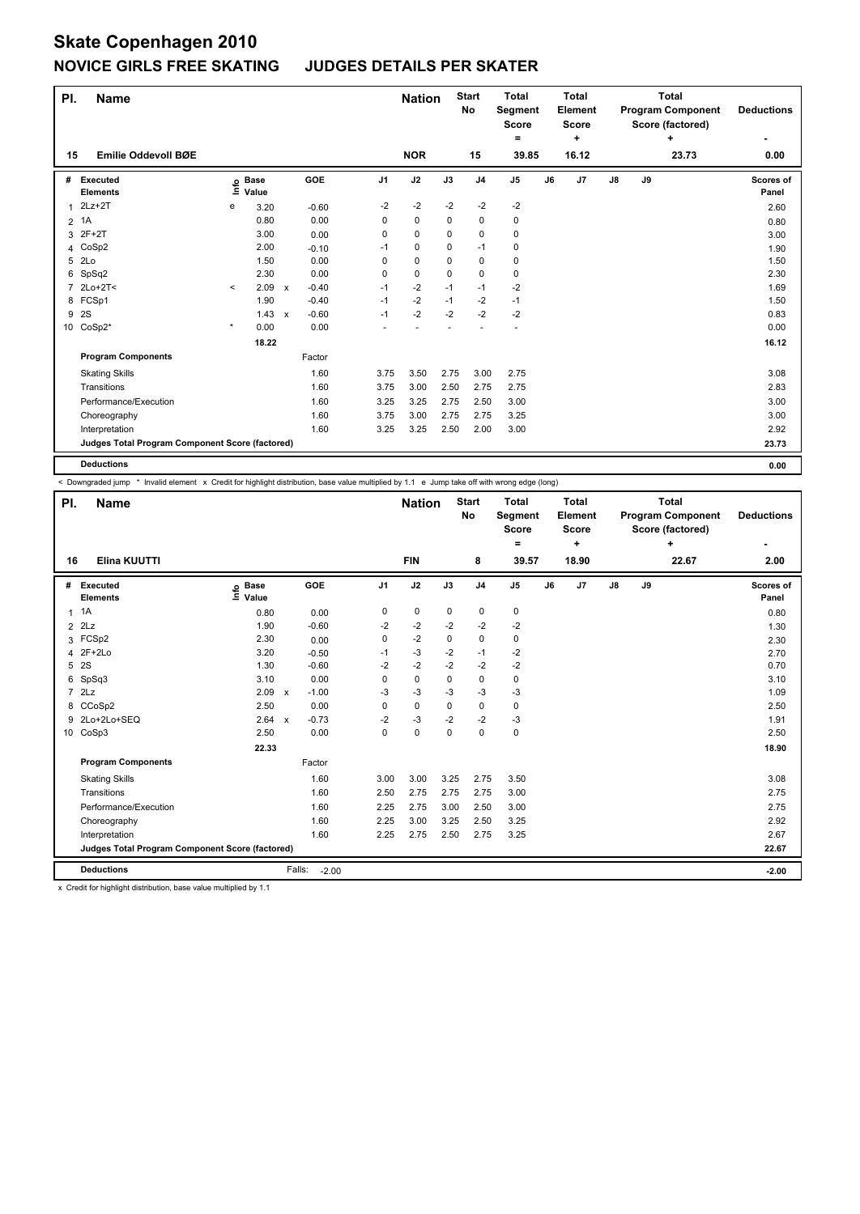| PI. | <b>Name</b>                                     |         |                      |              |         |                | <b>Nation</b> |             | <b>Start</b><br>No | <b>Total</b><br>Segment<br><b>Score</b><br>۰ |    | <b>Total</b><br>Element<br><b>Score</b><br>٠ |               |    | <b>Total</b><br><b>Program Component</b><br>Score (factored)<br>٠ | <b>Deductions</b>  |
|-----|-------------------------------------------------|---------|----------------------|--------------|---------|----------------|---------------|-------------|--------------------|----------------------------------------------|----|----------------------------------------------|---------------|----|-------------------------------------------------------------------|--------------------|
| 15  | Emilie Oddevoll BØE                             |         |                      |              |         |                | <b>NOR</b>    |             | 15                 | 39.85                                        |    | 16.12                                        |               |    | 23.73                                                             | 0.00               |
| #   | Executed<br><b>Elements</b>                     | ١nfo    | <b>Base</b><br>Value |              | GOE     | J <sub>1</sub> | J2            | J3          | J <sub>4</sub>     | J <sub>5</sub>                               | J6 | J7                                           | $\mathsf{J}8$ | J9 |                                                                   | Scores of<br>Panel |
|     | $2Lz+2T$                                        | е       | 3.20                 |              | $-0.60$ | $-2$           | $-2$          | $-2$        | $-2$               | $-2$                                         |    |                                              |               |    |                                                                   | 2.60               |
| 2   | 1A                                              |         | 0.80                 |              | 0.00    | 0              | $\pmb{0}$     | 0           | 0                  | 0                                            |    |                                              |               |    |                                                                   | 0.80               |
|     | 3 2F+2T                                         |         | 3.00                 |              | 0.00    | 0              | 0             | 0           | $\mathbf 0$        | 0                                            |    |                                              |               |    |                                                                   | 3.00               |
|     | 4 CoSp2                                         |         | 2.00                 |              | $-0.10$ | $-1$           | 0             | $\Omega$    | $-1$               | 0                                            |    |                                              |               |    |                                                                   | 1.90               |
| 5   | 2Lo                                             |         | 1.50                 |              | 0.00    | 0              | $\mathbf 0$   | $\mathbf 0$ | $\mathbf 0$        | $\pmb{0}$                                    |    |                                              |               |    |                                                                   | 1.50               |
|     | 6 SpSq2                                         |         | 2.30                 |              | 0.00    | 0              | $\mathbf 0$   | $\Omega$    | $\mathbf 0$        | $\pmb{0}$                                    |    |                                              |               |    |                                                                   | 2.30               |
| 7   | $2Lo+2T<$                                       | $\prec$ | 2.09                 | $\mathsf{x}$ | $-0.40$ | $-1$           | $-2$          | $-1$        | $-1$               | $-2$                                         |    |                                              |               |    |                                                                   | 1.69               |
|     | 8 FCSp1                                         |         | 1.90                 |              | $-0.40$ | $-1$           | $-2$          | $-1$        | $-2$               | $-1$                                         |    |                                              |               |    |                                                                   | 1.50               |
| 9   | 2S                                              |         | 1.43                 | $\mathsf{x}$ | $-0.60$ | $-1$           | $-2$          | $-2$        | $-2$               | $-2$                                         |    |                                              |               |    |                                                                   | 0.83               |
|     | 10 CoSp2*                                       | $\star$ | 0.00                 |              | 0.00    |                |               |             |                    | ÷,                                           |    |                                              |               |    |                                                                   | 0.00               |
|     |                                                 |         | 18.22                |              |         |                |               |             |                    |                                              |    |                                              |               |    |                                                                   | 16.12              |
|     | <b>Program Components</b>                       |         |                      |              | Factor  |                |               |             |                    |                                              |    |                                              |               |    |                                                                   |                    |
|     | <b>Skating Skills</b>                           |         |                      |              | 1.60    | 3.75           | 3.50          | 2.75        | 3.00               | 2.75                                         |    |                                              |               |    |                                                                   | 3.08               |
|     | Transitions                                     |         |                      |              | 1.60    | 3.75           | 3.00          | 2.50        | 2.75               | 2.75                                         |    |                                              |               |    |                                                                   | 2.83               |
|     | Performance/Execution                           |         |                      |              | 1.60    | 3.25           | 3.25          | 2.75        | 2.50               | 3.00                                         |    |                                              |               |    |                                                                   | 3.00               |
|     | Choreography                                    |         |                      |              | 1.60    | 3.75           | 3.00          | 2.75        | 2.75               | 3.25                                         |    |                                              |               |    |                                                                   | 3.00               |
|     | Interpretation                                  |         |                      |              | 1.60    | 3.25           | 3.25          | 2.50        | 2.00               | 3.00                                         |    |                                              |               |    |                                                                   | 2.92               |
|     | Judges Total Program Component Score (factored) |         |                      |              |         |                |               |             |                    |                                              |    |                                              |               |    |                                                                   | 23.73              |
|     | <b>Deductions</b>                               |         |                      |              |         |                |               |             |                    |                                              |    |                                              |               |    |                                                                   | 0.00               |

< Downgraded jump \* Invalid element x Credit for highlight distribution, base value multiplied by 1.1 e Jump take off with wrong edge (long)

| PI.            | <b>Name</b>                                     |                              |              |                              | <b>Nation</b> |             | <b>Start</b><br><b>No</b> | <b>Total</b><br>Segment<br><b>Score</b> |    | <b>Total</b><br>Element<br><b>Score</b> |               |    | <b>Total</b><br><b>Program Component</b><br>Score (factored) | <b>Deductions</b>  |
|----------------|-------------------------------------------------|------------------------------|--------------|------------------------------|---------------|-------------|---------------------------|-----------------------------------------|----|-----------------------------------------|---------------|----|--------------------------------------------------------------|--------------------|
| 16             | <b>Elina KUUTTI</b>                             |                              |              |                              | <b>FIN</b>    |             | 8                         | ۰<br>39.57                              |    | ٠<br>18.90                              |               |    | ÷<br>22.67                                                   | 2.00               |
| #              | Executed<br><b>Elements</b>                     | <b>Base</b><br>١nfo<br>Value |              | <b>GOE</b><br>J <sub>1</sub> | J2            | J3          | J <sub>4</sub>            | J <sub>5</sub>                          | J6 | J7                                      | $\mathsf{J}8$ | J9 |                                                              | Scores of<br>Panel |
| $\mathbf{1}$   | 1A                                              | 0.80                         |              | 0<br>0.00                    | $\mathbf 0$   | $\mathbf 0$ | $\mathbf 0$               | $\pmb{0}$                               |    |                                         |               |    |                                                              | 0.80               |
| 2              | 2Lz                                             | 1.90                         |              | $-0.60$<br>$-2$              | $-2$          | $-2$        | $-2$                      | $-2$                                    |    |                                         |               |    |                                                              | 1.30               |
|                | 3 FCSp2                                         | 2.30                         |              | 0<br>0.00                    | $-2$          | $\mathbf 0$ | $\mathbf 0$               | $\pmb{0}$                               |    |                                         |               |    |                                                              | 2.30               |
| 4              | $2F+2Lo$                                        | 3.20                         |              | $-0.50$<br>-1                | $-3$          | $-2$        | $-1$                      | $-2$                                    |    |                                         |               |    |                                                              | 2.70               |
| 5              | 2S                                              | 1.30                         |              | $-0.60$<br>$-2$              | $-2$          | $-2$        | $-2$                      | $-2$                                    |    |                                         |               |    |                                                              | 0.70               |
| 6              | SpSq3                                           | 3.10                         |              | 0.00<br>0                    | $\mathbf 0$   | $\mathbf 0$ | $\mathbf 0$               | $\pmb{0}$                               |    |                                         |               |    |                                                              | 3.10               |
| $\overline{7}$ | 2Lz                                             | 2.09                         | $\mathsf{x}$ | -3<br>$-1.00$                | $-3$          | $-3$        | $-3$                      | $-3$                                    |    |                                         |               |    |                                                              | 1.09               |
| 8              | CCoSp2                                          | 2.50                         |              | 0.00<br>0                    | $\mathbf 0$   | 0           | $\mathbf 0$               | $\pmb{0}$                               |    |                                         |               |    |                                                              | 2.50               |
| 9              | 2Lo+2Lo+SEQ                                     | 2.64                         | $\mathsf{x}$ | $-0.73$<br>$-2$              | $-3$          | $-2$        | $-2$                      | $-3$                                    |    |                                         |               |    |                                                              | 1.91               |
|                | 10 CoSp3                                        | 2.50                         |              | 0.00<br>0                    | $\mathbf 0$   | $\Omega$    | $\mathbf 0$               | $\pmb{0}$                               |    |                                         |               |    |                                                              | 2.50               |
|                |                                                 | 22.33                        |              |                              |               |             |                           |                                         |    |                                         |               |    |                                                              | 18.90              |
|                | <b>Program Components</b>                       |                              | Factor       |                              |               |             |                           |                                         |    |                                         |               |    |                                                              |                    |
|                | <b>Skating Skills</b>                           |                              |              | 1.60<br>3.00                 | 3.00          | 3.25        | 2.75                      | 3.50                                    |    |                                         |               |    |                                                              | 3.08               |
|                | Transitions                                     |                              |              | 1.60<br>2.50                 | 2.75          | 2.75        | 2.75                      | 3.00                                    |    |                                         |               |    |                                                              | 2.75               |
|                | Performance/Execution                           |                              |              | 1.60<br>2.25                 | 2.75          | 3.00        | 2.50                      | 3.00                                    |    |                                         |               |    |                                                              | 2.75               |
|                | Choreography                                    |                              |              | 1.60<br>2.25                 | 3.00          | 3.25        | 2.50                      | 3.25                                    |    |                                         |               |    |                                                              | 2.92               |
|                | Interpretation                                  |                              |              | 1.60<br>2.25                 | 2.75          | 2.50        | 2.75                      | 3.25                                    |    |                                         |               |    |                                                              | 2.67               |
|                | Judges Total Program Component Score (factored) |                              |              |                              |               |             |                           |                                         |    |                                         |               |    |                                                              | 22.67              |
|                | <b>Deductions</b>                               |                              | Falls:       | $-2.00$                      |               |             |                           |                                         |    |                                         |               |    |                                                              | $-2.00$            |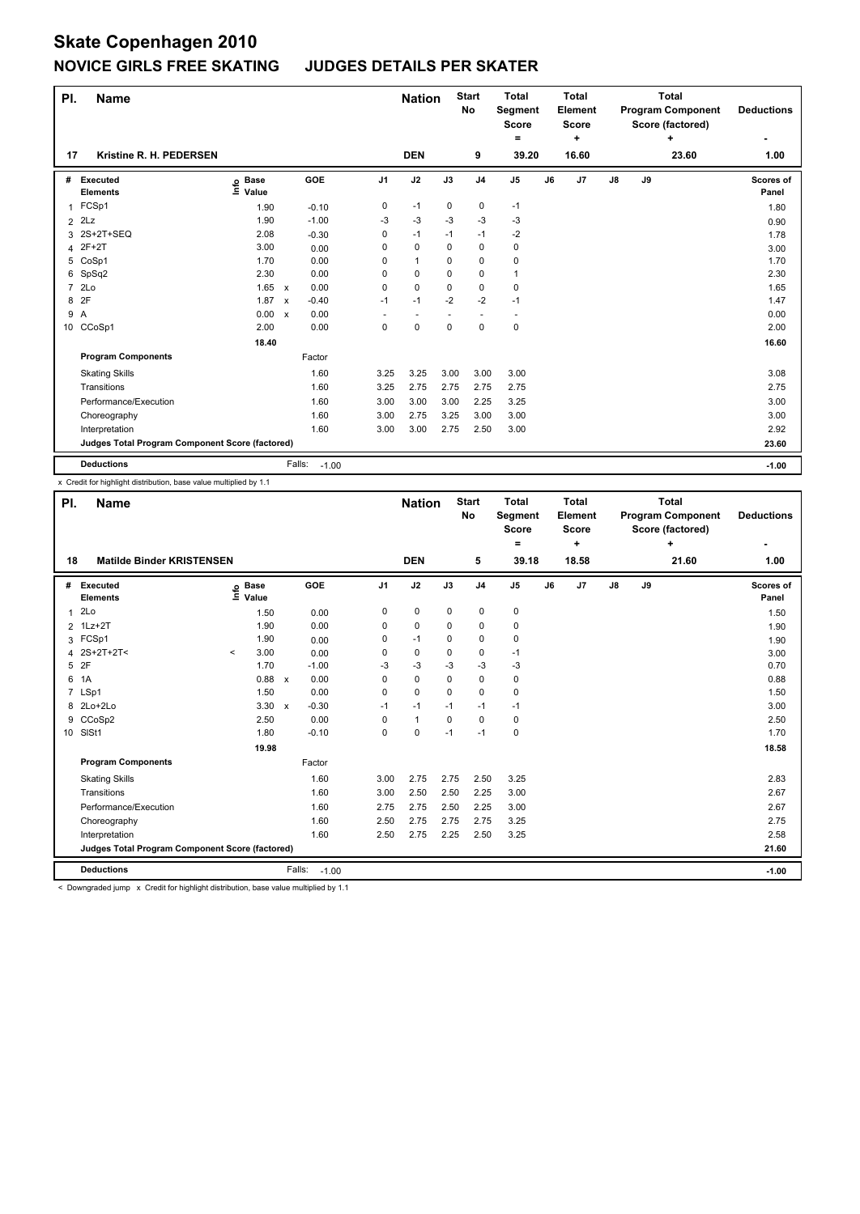| PI.            | <b>Name</b>                                     |                              |                           |                   |                | <b>Nation</b>            |             | <b>Start</b><br>No | <b>Total</b><br>Segment<br><b>Score</b><br>۰ |    | <b>Total</b><br>Element<br><b>Score</b><br>٠ |               |    | <b>Total</b><br><b>Program Component</b><br>Score (factored)<br>٠ | <b>Deductions</b>         |
|----------------|-------------------------------------------------|------------------------------|---------------------------|-------------------|----------------|--------------------------|-------------|--------------------|----------------------------------------------|----|----------------------------------------------|---------------|----|-------------------------------------------------------------------|---------------------------|
| 17             | Kristine R. H. PEDERSEN                         |                              |                           |                   |                | <b>DEN</b>               |             | 9                  | 39.20                                        |    | 16.60                                        |               |    | 23.60                                                             | 1.00                      |
| #              | Executed<br><b>Elements</b>                     | <b>Base</b><br>١nfo<br>Value |                           | GOE               | J <sub>1</sub> | J2                       | J3          | J <sub>4</sub>     | J <sub>5</sub>                               | J6 | J7                                           | $\mathsf{J}8$ | J9 |                                                                   | <b>Scores of</b><br>Panel |
| 1              | FCSp1                                           | 1.90                         |                           | $-0.10$           | 0              | $-1$                     | 0           | 0                  | $-1$                                         |    |                                              |               |    |                                                                   | 1.80                      |
| $\overline{2}$ | 2Lz                                             | 1.90                         |                           | $-1.00$           | $-3$           | $-3$                     | $-3$        | $-3$               | $-3$                                         |    |                                              |               |    |                                                                   | 0.90                      |
|                | 3 2S+2T+SEQ                                     | 2.08                         |                           | $-0.30$           | 0              | $-1$                     | $-1$        | $-1$               | $-2$                                         |    |                                              |               |    |                                                                   | 1.78                      |
|                | 4 2F+2T                                         | 3.00                         |                           | 0.00              | 0              | $\mathbf 0$              | $\Omega$    | 0                  | $\pmb{0}$                                    |    |                                              |               |    |                                                                   | 3.00                      |
|                | 5 CoSp1                                         | 1.70                         |                           | 0.00              | 0              | $\mathbf{1}$             | $\Omega$    | 0                  | $\pmb{0}$                                    |    |                                              |               |    |                                                                   | 1.70                      |
|                | 6 SpSq2                                         | 2.30                         |                           | 0.00              | 0              | $\mathbf 0$              | $\Omega$    | 0                  | 1                                            |    |                                              |               |    |                                                                   | 2.30                      |
| $\overline{7}$ | 2Lo                                             | 1.65                         | $\mathsf{x}$              | 0.00              | 0              | $\mathbf 0$              | 0           | 0                  | 0                                            |    |                                              |               |    |                                                                   | 1.65                      |
| 8              | 2F                                              | 1.87                         | $\boldsymbol{\mathsf{x}}$ | $-0.40$           | $-1$           | $-1$                     | $-2$        | $-2$               | $-1$                                         |    |                                              |               |    |                                                                   | 1.47                      |
| 9              | $\overline{A}$                                  | 0.00                         | $\mathsf{x}$              | 0.00              |                | $\overline{\phantom{a}}$ |             |                    | $\overline{\phantom{a}}$                     |    |                                              |               |    |                                                                   | 0.00                      |
|                | 10 CCoSp1                                       | 2.00                         |                           | 0.00              | 0              | $\mathbf 0$              | $\mathbf 0$ | $\mathbf 0$        | $\pmb{0}$                                    |    |                                              |               |    |                                                                   | 2.00                      |
|                |                                                 | 18.40                        |                           |                   |                |                          |             |                    |                                              |    |                                              |               |    |                                                                   | 16.60                     |
|                | <b>Program Components</b>                       |                              |                           | Factor            |                |                          |             |                    |                                              |    |                                              |               |    |                                                                   |                           |
|                | <b>Skating Skills</b>                           |                              |                           | 1.60              | 3.25           | 3.25                     | 3.00        | 3.00               | 3.00                                         |    |                                              |               |    |                                                                   | 3.08                      |
|                | Transitions                                     |                              |                           | 1.60              | 3.25           | 2.75                     | 2.75        | 2.75               | 2.75                                         |    |                                              |               |    |                                                                   | 2.75                      |
|                | Performance/Execution                           |                              |                           | 1.60              | 3.00           | 3.00                     | 3.00        | 2.25               | 3.25                                         |    |                                              |               |    |                                                                   | 3.00                      |
|                | Choreography                                    |                              |                           | 1.60              | 3.00           | 2.75                     | 3.25        | 3.00               | 3.00                                         |    |                                              |               |    |                                                                   | 3.00                      |
|                | Interpretation                                  |                              |                           | 1.60              | 3.00           | 3.00                     | 2.75        | 2.50               | 3.00                                         |    |                                              |               |    |                                                                   | 2.92                      |
|                | Judges Total Program Component Score (factored) |                              |                           |                   |                |                          |             |                    |                                              |    |                                              |               |    |                                                                   | 23.60                     |
|                | <b>Deductions</b>                               |                              |                           | Falls:<br>$-1.00$ |                |                          |             |                    |                                              |    |                                              |               |    |                                                                   | $-1.00$                   |

x Credit for highlight distribution, base value multiplied by 1.1

| PI.          | <b>Name</b>                                     |          |                      |              |                   |                | <b>Nation</b> |          | <b>Start</b><br>No | <b>Total</b><br>Segment<br><b>Score</b><br>۰ |    | <b>Total</b><br>Element<br>Score<br>÷ |               |    | <b>Total</b><br><b>Program Component</b><br>Score (factored)<br>÷ | <b>Deductions</b>  |
|--------------|-------------------------------------------------|----------|----------------------|--------------|-------------------|----------------|---------------|----------|--------------------|----------------------------------------------|----|---------------------------------------|---------------|----|-------------------------------------------------------------------|--------------------|
| 18           | <b>Matilde Binder KRISTENSEN</b>                |          |                      |              |                   |                | <b>DEN</b>    |          | 5                  | 39.18                                        |    | 18.58                                 |               |    | 21.60                                                             | 1.00               |
| #            | Executed<br><b>Elements</b>                     | ١ifo     | <b>Base</b><br>Value |              | GOE               | J <sub>1</sub> | J2            | J3       | J <sub>4</sub>     | J <sub>5</sub>                               | J6 | J7                                    | $\mathsf{J}8$ | J9 |                                                                   | Scores of<br>Panel |
| $\mathbf{1}$ | 2Lo                                             |          | 1.50                 |              | 0.00              | 0              | $\pmb{0}$     | 0        | 0                  | 0                                            |    |                                       |               |    |                                                                   | 1.50               |
|              | 2 1Lz+2T                                        |          | 1.90                 |              | 0.00              | 0              | $\mathbf 0$   | 0        | 0                  | 0                                            |    |                                       |               |    |                                                                   | 1.90               |
| 3            | FCSp1                                           |          | 1.90                 |              | 0.00              | 0              | $-1$          | 0        | 0                  | 0                                            |    |                                       |               |    |                                                                   | 1.90               |
| 4            | 2S+2T+2T<                                       | $\hat{}$ | 3.00                 |              | 0.00              | 0              | 0             | 0        | 0                  | $-1$                                         |    |                                       |               |    |                                                                   | 3.00               |
| 5            | 2F                                              |          | 1.70                 |              | $-1.00$           | $-3$           | $-3$          | $-3$     | $-3$               | $-3$                                         |    |                                       |               |    |                                                                   | 0.70               |
| 6            | 1A                                              |          | 0.88                 | $\mathsf{x}$ | 0.00              | 0              | 0             | 0        | 0                  | 0                                            |    |                                       |               |    |                                                                   | 0.88               |
|              | 7 LSp1                                          |          | 1.50                 |              | 0.00              | 0              | $\mathbf 0$   | $\Omega$ | $\mathbf 0$        | 0                                            |    |                                       |               |    |                                                                   | 1.50               |
|              | 8 2Lo+2Lo                                       |          | 3.30                 | $\mathsf{x}$ | $-0.30$           | $-1$           | $-1$          | $-1$     | $-1$               | $-1$                                         |    |                                       |               |    |                                                                   | 3.00               |
|              | 9 CCoSp2                                        |          | 2.50                 |              | 0.00              | 0              | $\mathbf{1}$  | $\Omega$ | 0                  | 0                                            |    |                                       |               |    |                                                                   | 2.50               |
|              | 10 SISt1                                        |          | 1.80                 |              | $-0.10$           | 0              | $\mathbf 0$   | $-1$     | $-1$               | 0                                            |    |                                       |               |    |                                                                   | 1.70               |
|              |                                                 |          | 19.98                |              |                   |                |               |          |                    |                                              |    |                                       |               |    |                                                                   | 18.58              |
|              | <b>Program Components</b>                       |          |                      |              | Factor            |                |               |          |                    |                                              |    |                                       |               |    |                                                                   |                    |
|              | <b>Skating Skills</b>                           |          |                      |              | 1.60              | 3.00           | 2.75          | 2.75     | 2.50               | 3.25                                         |    |                                       |               |    |                                                                   | 2.83               |
|              | Transitions                                     |          |                      |              | 1.60              | 3.00           | 2.50          | 2.50     | 2.25               | 3.00                                         |    |                                       |               |    |                                                                   | 2.67               |
|              | Performance/Execution                           |          |                      |              | 1.60              | 2.75           | 2.75          | 2.50     | 2.25               | 3.00                                         |    |                                       |               |    |                                                                   | 2.67               |
|              | Choreography                                    |          |                      |              | 1.60              | 2.50           | 2.75          | 2.75     | 2.75               | 3.25                                         |    |                                       |               |    |                                                                   | 2.75               |
|              | Interpretation                                  |          |                      |              | 1.60              | 2.50           | 2.75          | 2.25     | 2.50               | 3.25                                         |    |                                       |               |    |                                                                   | 2.58               |
|              | Judges Total Program Component Score (factored) |          |                      |              |                   |                |               |          |                    |                                              |    |                                       |               |    |                                                                   | 21.60              |
|              | <b>Deductions</b>                               |          |                      |              | Falls:<br>$-1.00$ |                |               |          |                    |                                              |    |                                       |               |    |                                                                   | $-1.00$            |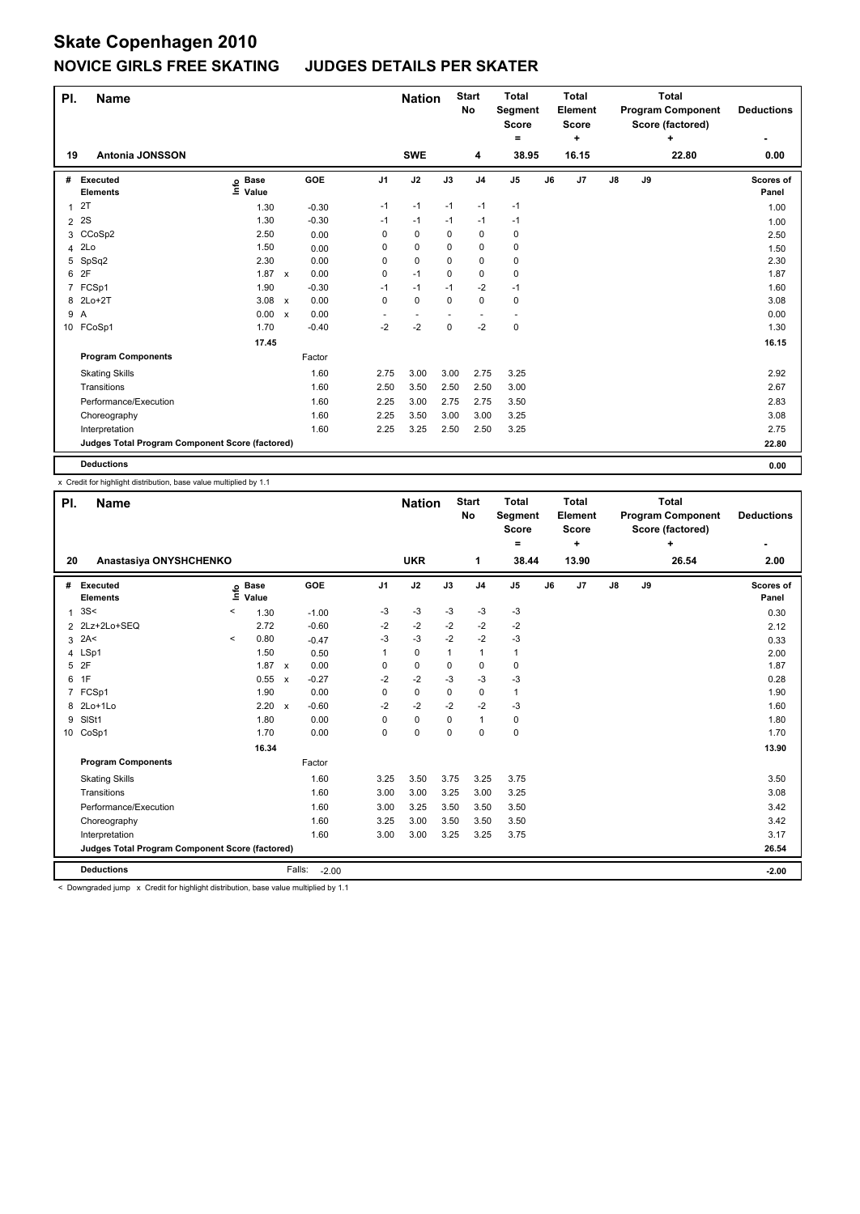| PI. | <b>Name</b>                                     |                              |              |         |                          | <b>Nation</b>            |             | <b>Start</b><br>No | <b>Total</b><br>Segment<br><b>Score</b><br>$=$ |    | <b>Total</b><br>Element<br><b>Score</b><br>٠ |               |    | <b>Total</b><br><b>Program Component</b><br>Score (factored)<br>÷ | <b>Deductions</b>  |
|-----|-------------------------------------------------|------------------------------|--------------|---------|--------------------------|--------------------------|-------------|--------------------|------------------------------------------------|----|----------------------------------------------|---------------|----|-------------------------------------------------------------------|--------------------|
| 19  | <b>Antonia JONSSON</b>                          |                              |              |         |                          | <b>SWE</b>               |             | 4                  | 38.95                                          |    | 16.15                                        |               |    | 22.80                                                             | 0.00               |
| #   | Executed<br><b>Elements</b>                     | <b>Base</b><br>١nfo<br>Value |              | GOE     | J <sub>1</sub>           | J2                       | J3          | J <sub>4</sub>     | J <sub>5</sub>                                 | J6 | J7                                           | $\mathsf{J}8$ | J9 |                                                                   | Scores of<br>Panel |
| 1   | 2T                                              | 1.30                         |              | $-0.30$ | $-1$                     | $-1$                     | $-1$        | $-1$               | $-1$                                           |    |                                              |               |    |                                                                   | 1.00               |
| 2   | 2S                                              | 1.30                         |              | $-0.30$ | $-1$                     | $-1$                     | $-1$        | $-1$               | $-1$                                           |    |                                              |               |    |                                                                   | 1.00               |
|     | 3 CCoSp2                                        | 2.50                         |              | 0.00    | 0                        | 0                        | 0           | $\mathbf 0$        | 0                                              |    |                                              |               |    |                                                                   | 2.50               |
| 4   | 2Lo                                             | 1.50                         |              | 0.00    | 0                        | $\mathbf 0$              | $\Omega$    | 0                  | $\pmb{0}$                                      |    |                                              |               |    |                                                                   | 1.50               |
| 5   | SpSq2                                           | 2.30                         |              | 0.00    | 0                        | $\mathbf 0$              | 0           | 0                  | 0                                              |    |                                              |               |    |                                                                   | 2.30               |
| 6   | 2F                                              | 1.87 x                       |              | 0.00    | 0                        | $-1$                     | $\Omega$    | $\pmb{0}$          | $\pmb{0}$                                      |    |                                              |               |    |                                                                   | 1.87               |
|     | 7 FCSp1                                         | 1.90                         |              | $-0.30$ | $-1$                     | $-1$                     | $-1$        | $-2$               | $-1$                                           |    |                                              |               |    |                                                                   | 1.60               |
|     | 8 2Lo+2T                                        | 3.08                         | $\mathsf{x}$ | 0.00    | 0                        | $\mathbf 0$              | 0           | $\pmb{0}$          | 0                                              |    |                                              |               |    |                                                                   | 3.08               |
| 9   | $\overline{A}$                                  | 0.00                         | $\mathsf{x}$ | 0.00    | $\overline{\phantom{a}}$ | $\overline{\phantom{a}}$ |             | ٠                  | $\overline{\phantom{a}}$                       |    |                                              |               |    |                                                                   | 0.00               |
|     | 10 FCoSp1                                       | 1.70                         |              | $-0.40$ | $-2$                     | $-2$                     | $\mathbf 0$ | $-2$               | $\mathbf 0$                                    |    |                                              |               |    |                                                                   | 1.30               |
|     |                                                 | 17.45                        |              |         |                          |                          |             |                    |                                                |    |                                              |               |    |                                                                   | 16.15              |
|     | <b>Program Components</b>                       |                              |              | Factor  |                          |                          |             |                    |                                                |    |                                              |               |    |                                                                   |                    |
|     | <b>Skating Skills</b>                           |                              |              | 1.60    | 2.75                     | 3.00                     | 3.00        | 2.75               | 3.25                                           |    |                                              |               |    |                                                                   | 2.92               |
|     | Transitions                                     |                              |              | 1.60    | 2.50                     | 3.50                     | 2.50        | 2.50               | 3.00                                           |    |                                              |               |    |                                                                   | 2.67               |
|     | Performance/Execution                           |                              |              | 1.60    | 2.25                     | 3.00                     | 2.75        | 2.75               | 3.50                                           |    |                                              |               |    |                                                                   | 2.83               |
|     | Choreography                                    |                              |              | 1.60    | 2.25                     | 3.50                     | 3.00        | 3.00               | 3.25                                           |    |                                              |               |    |                                                                   | 3.08               |
|     | Interpretation                                  |                              |              | 1.60    | 2.25                     | 3.25                     | 2.50        | 2.50               | 3.25                                           |    |                                              |               |    |                                                                   | 2.75               |
|     | Judges Total Program Component Score (factored) |                              |              |         |                          |                          |             |                    |                                                |    |                                              |               |    |                                                                   | 22.80              |
|     | <b>Deductions</b>                               |                              |              |         |                          |                          |             |                    |                                                |    |                                              |               |    |                                                                   | 0.00               |

x Credit for highlight distribution, base value multiplied by 1.1

| PI. | <b>Name</b>                                     |         |                      |                           |            |                | <b>Nation</b> |          | <b>Start</b><br><b>No</b> | <b>Total</b><br>Segment<br><b>Score</b><br>$\equiv$ |    | <b>Total</b><br>Element<br><b>Score</b><br>٠ |               |    | <b>Total</b><br><b>Program Component</b><br>Score (factored)<br>÷ | <b>Deductions</b>  |
|-----|-------------------------------------------------|---------|----------------------|---------------------------|------------|----------------|---------------|----------|---------------------------|-----------------------------------------------------|----|----------------------------------------------|---------------|----|-------------------------------------------------------------------|--------------------|
| 20  | Anastasiya ONYSHCHENKO                          |         |                      |                           |            |                | <b>UKR</b>    |          | 1                         | 38.44                                               |    | 13.90                                        |               |    | 26.54                                                             | 2.00               |
| #   | Executed<br><b>Elements</b>                     | ١nfo    | <b>Base</b><br>Value |                           | <b>GOE</b> | J <sub>1</sub> | J2            | J3       | J <sub>4</sub>            | J <sub>5</sub>                                      | J6 | J7                                           | $\mathsf{J}8$ | J9 |                                                                   | Scores of<br>Panel |
| 1   | 3S<                                             | $\,<\,$ | 1.30                 |                           | $-1.00$    | $-3$           | -3            | $-3$     | $-3$                      | $-3$                                                |    |                                              |               |    |                                                                   | 0.30               |
| 2   | 2Lz+2Lo+SEQ                                     |         | 2.72                 |                           | $-0.60$    | -2             | $-2$          | $-2$     | $-2$                      | $-2$                                                |    |                                              |               |    |                                                                   | 2.12               |
| 3   | 2A<                                             | $\,<\,$ | 0.80                 |                           | $-0.47$    | $-3$           | $-3$          | $-2$     | $-2$                      | $-3$                                                |    |                                              |               |    |                                                                   | 0.33               |
|     | 4 LSp1                                          |         | 1.50                 |                           | 0.50       | 1              | $\mathbf 0$   | 1        | $\mathbf{1}$              | 1                                                   |    |                                              |               |    |                                                                   | 2.00               |
|     | 5 2F                                            |         | $1.87 \times$        |                           | 0.00       | $\Omega$       | $\mathbf 0$   | $\Omega$ | $\Omega$                  | 0                                                   |    |                                              |               |    |                                                                   | 1.87               |
| 6   | 1F                                              |         | 0.55                 | $\boldsymbol{\mathsf{x}}$ | $-0.27$    | $-2$           | $-2$          | $-3$     | $-3$                      | $-3$                                                |    |                                              |               |    |                                                                   | 0.28               |
| 7   | FCSp1                                           |         | 1.90                 |                           | 0.00       | 0              | $\mathbf 0$   | 0        | $\mathbf 0$               | 1                                                   |    |                                              |               |    |                                                                   | 1.90               |
| 8   | 2Lo+1Lo                                         |         | 2.20                 | $\boldsymbol{\mathsf{x}}$ | $-0.60$    | $-2$           | $-2$          | $-2$     | $-2$                      | $-3$                                                |    |                                              |               |    |                                                                   | 1.60               |
| 9   | SISt1                                           |         | 1.80                 |                           | 0.00       | 0              | 0             | 0        | $\mathbf{1}$              | 0                                                   |    |                                              |               |    |                                                                   | 1.80               |
| 10  | CoSp1                                           |         | 1.70                 |                           | 0.00       | 0              | $\mathbf 0$   | 0        | $\mathbf 0$               | 0                                                   |    |                                              |               |    |                                                                   | 1.70               |
|     |                                                 |         | 16.34                |                           |            |                |               |          |                           |                                                     |    |                                              |               |    |                                                                   | 13.90              |
|     | <b>Program Components</b>                       |         |                      |                           | Factor     |                |               |          |                           |                                                     |    |                                              |               |    |                                                                   |                    |
|     | <b>Skating Skills</b>                           |         |                      |                           | 1.60       | 3.25           | 3.50          | 3.75     | 3.25                      | 3.75                                                |    |                                              |               |    |                                                                   | 3.50               |
|     | Transitions                                     |         |                      |                           | 1.60       | 3.00           | 3.00          | 3.25     | 3.00                      | 3.25                                                |    |                                              |               |    |                                                                   | 3.08               |
|     | Performance/Execution                           |         |                      |                           | 1.60       | 3.00           | 3.25          | 3.50     | 3.50                      | 3.50                                                |    |                                              |               |    |                                                                   | 3.42               |
|     | Choreography                                    |         |                      |                           | 1.60       | 3.25           | 3.00          | 3.50     | 3.50                      | 3.50                                                |    |                                              |               |    |                                                                   | 3.42               |
|     | Interpretation                                  |         |                      |                           | 1.60       | 3.00           | 3.00          | 3.25     | 3.25                      | 3.75                                                |    |                                              |               |    |                                                                   | 3.17               |
|     | Judges Total Program Component Score (factored) |         |                      |                           |            |                |               |          |                           |                                                     |    |                                              |               |    |                                                                   | 26.54              |
|     | <b>Deductions</b>                               |         |                      | Falls:                    | $-2.00$    |                |               |          |                           |                                                     |    |                                              |               |    |                                                                   | $-2.00$            |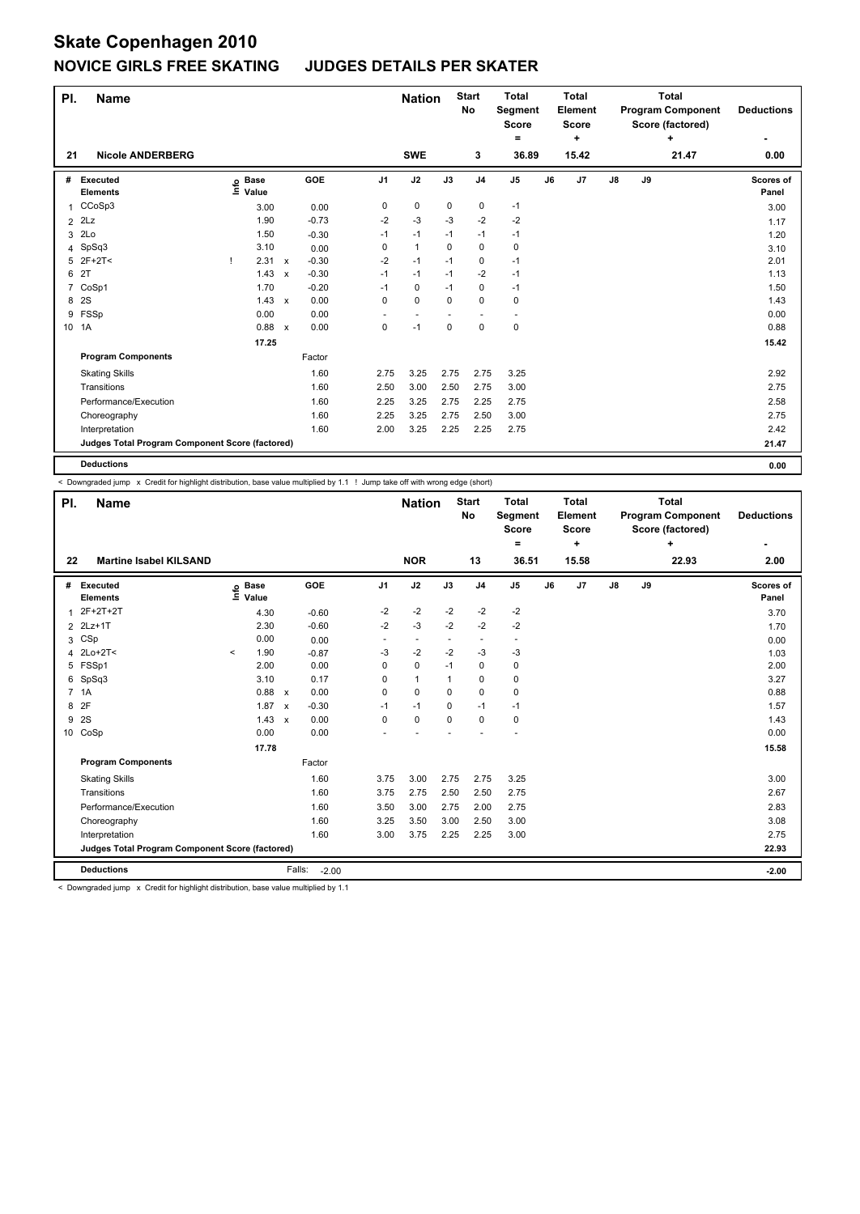| PI.            | <b>Name</b>                                     |      |                      |                           |         |                | <b>Nation</b>            |             | <b>Start</b><br>No | <b>Total</b><br>Segment<br><b>Score</b><br>۰ |    | <b>Total</b><br>Element<br><b>Score</b><br>٠ |               |    | <b>Total</b><br><b>Program Component</b><br>Score (factored)<br>÷ | <b>Deductions</b>  |
|----------------|-------------------------------------------------|------|----------------------|---------------------------|---------|----------------|--------------------------|-------------|--------------------|----------------------------------------------|----|----------------------------------------------|---------------|----|-------------------------------------------------------------------|--------------------|
| 21             | <b>Nicole ANDERBERG</b>                         |      |                      |                           |         |                | <b>SWE</b>               |             | 3                  | 36.89                                        |    | 15.42                                        |               |    | 21.47                                                             | 0.00               |
| #              | Executed<br><b>Elements</b>                     | ١nfo | <b>Base</b><br>Value |                           | GOE     | J <sub>1</sub> | J2                       | J3          | J <sub>4</sub>     | J <sub>5</sub>                               | J6 | J7                                           | $\mathsf{J}8$ | J9 |                                                                   | Scores of<br>Panel |
| 1              | CCoSp3                                          |      | 3.00                 |                           | 0.00    | 0              | 0                        | 0           | $\mathbf 0$        | $-1$                                         |    |                                              |               |    |                                                                   | 3.00               |
| $\overline{2}$ | 2Lz                                             |      | 1.90                 |                           | $-0.73$ | $-2$           | $-3$                     | $-3$        | $-2$               | $-2$                                         |    |                                              |               |    |                                                                   | 1.17               |
| 3              | 2Lo                                             |      | 1.50                 |                           | $-0.30$ | $-1$           | $-1$                     | $-1$        | $-1$               | $-1$                                         |    |                                              |               |    |                                                                   | 1.20               |
|                | 4 SpSq3                                         |      | 3.10                 |                           | 0.00    | 0              | $\overline{1}$           | $\Omega$    | $\Omega$           | 0                                            |    |                                              |               |    |                                                                   | 3.10               |
|                | $5$ 2F+2T<                                      |      | 2.31                 | $\mathsf{x}$              | $-0.30$ | $-2$           | $-1$                     | $-1$        | 0                  | $-1$                                         |    |                                              |               |    |                                                                   | 2.01               |
| 6              | 2T                                              |      | 1.43                 | $\boldsymbol{\mathsf{x}}$ | $-0.30$ | $-1$           | $-1$                     | $-1$        | $-2$               | $-1$                                         |    |                                              |               |    |                                                                   | 1.13               |
|                | 7 CoSp1                                         |      | 1.70                 |                           | $-0.20$ | $-1$           | 0                        | $-1$        | 0                  | $-1$                                         |    |                                              |               |    |                                                                   | 1.50               |
| 8              | 2S                                              |      | 1.43                 | $\mathsf{x}$              | 0.00    | 0              | $\mathbf 0$              | $\Omega$    | 0                  | 0                                            |    |                                              |               |    |                                                                   | 1.43               |
| 9              | FSSp                                            |      | 0.00                 |                           | 0.00    | ٠              | $\overline{\phantom{a}}$ |             | ٠                  | $\overline{\phantom{a}}$                     |    |                                              |               |    |                                                                   | 0.00               |
|                | 10 1A                                           |      | 0.88                 | $\mathsf{x}$              | 0.00    | 0              | $-1$                     | $\mathbf 0$ | $\mathbf 0$        | $\pmb{0}$                                    |    |                                              |               |    |                                                                   | 0.88               |
|                |                                                 |      | 17.25                |                           |         |                |                          |             |                    |                                              |    |                                              |               |    |                                                                   | 15.42              |
|                | <b>Program Components</b>                       |      |                      |                           | Factor  |                |                          |             |                    |                                              |    |                                              |               |    |                                                                   |                    |
|                | <b>Skating Skills</b>                           |      |                      |                           | 1.60    | 2.75           | 3.25                     | 2.75        | 2.75               | 3.25                                         |    |                                              |               |    |                                                                   | 2.92               |
|                | Transitions                                     |      |                      |                           | 1.60    | 2.50           | 3.00                     | 2.50        | 2.75               | 3.00                                         |    |                                              |               |    |                                                                   | 2.75               |
|                | Performance/Execution                           |      |                      |                           | 1.60    | 2.25           | 3.25                     | 2.75        | 2.25               | 2.75                                         |    |                                              |               |    |                                                                   | 2.58               |
|                | Choreography                                    |      |                      |                           | 1.60    | 2.25           | 3.25                     | 2.75        | 2.50               | 3.00                                         |    |                                              |               |    |                                                                   | 2.75               |
|                | Interpretation                                  |      |                      |                           | 1.60    | 2.00           | 3.25                     | 2.25        | 2.25               | 2.75                                         |    |                                              |               |    |                                                                   | 2.42               |
|                | Judges Total Program Component Score (factored) |      |                      |                           |         |                |                          |             |                    |                                              |    |                                              |               |    |                                                                   | 21.47              |
|                | <b>Deductions</b>                               |      |                      |                           |         |                |                          |             |                    |                                              |    |                                              |               |    |                                                                   | 0.00               |

< Downgraded jump x Credit for highlight distribution, base value multiplied by 1.1 ! Jump take off with wrong edge (short)

| PI.            | <b>Name</b>                                     |          |                      |                           |                   |                          | <b>Nation</b>            |              | <b>Start</b><br><b>No</b> | <b>Total</b><br>Segment<br><b>Score</b><br>Ξ. |    | <b>Total</b><br>Element<br><b>Score</b><br>٠ |               |    | <b>Total</b><br><b>Program Component</b><br>Score (factored)<br>٠ | <b>Deductions</b>  |
|----------------|-------------------------------------------------|----------|----------------------|---------------------------|-------------------|--------------------------|--------------------------|--------------|---------------------------|-----------------------------------------------|----|----------------------------------------------|---------------|----|-------------------------------------------------------------------|--------------------|
| 22             | <b>Martine Isabel KILSAND</b>                   |          |                      |                           |                   |                          | <b>NOR</b>               |              | 13                        | 36.51                                         |    | 15.58                                        |               |    | 22.93                                                             | 2.00               |
| #              | <b>Executed</b><br><b>Elements</b>              | $ln f$ o | <b>Base</b><br>Value |                           | <b>GOE</b>        | J <sub>1</sub>           | J2                       | J3           | J <sub>4</sub>            | J <sub>5</sub>                                | J6 | J7                                           | $\mathsf{J}8$ | J9 |                                                                   | Scores of<br>Panel |
| 1              | 2F+2T+2T                                        |          | 4.30                 |                           | $-0.60$           | -2                       | $-2$                     | $-2$         | $-2$                      | $-2$                                          |    |                                              |               |    |                                                                   | 3.70               |
| 2              | $2Lz+1T$                                        |          | 2.30                 |                           | $-0.60$           | $-2$                     | $-3$                     | $-2$         | $-2$                      | $-2$                                          |    |                                              |               |    |                                                                   | 1.70               |
| 3              | CSp                                             |          | 0.00                 |                           | 0.00              | $\overline{\phantom{a}}$ | $\overline{\phantom{a}}$ | -            | $\overline{\phantom{a}}$  | $\overline{\phantom{a}}$                      |    |                                              |               |    |                                                                   | 0.00               |
| 4              | $2Lo+2T<$                                       | $\prec$  | 1.90                 |                           | $-0.87$           | -3                       | $-2$                     | $-2$         | $-3$                      | $-3$                                          |    |                                              |               |    |                                                                   | 1.03               |
| 5              | FSSp1                                           |          | 2.00                 |                           | 0.00              | 0                        | $\mathbf 0$              | $-1$         | $\mathbf 0$               | $\pmb{0}$                                     |    |                                              |               |    |                                                                   | 2.00               |
| 6              | SpSq3                                           |          | 3.10                 |                           | 0.17              | 0                        | $\mathbf{1}$             | $\mathbf{1}$ | $\mathbf 0$               | $\pmb{0}$                                     |    |                                              |               |    |                                                                   | 3.27               |
| $\overline{7}$ | 1A                                              |          | 0.88                 | $\boldsymbol{\mathsf{x}}$ | 0.00              | 0                        | $\Omega$                 | $\Omega$     | $\mathbf 0$               | 0                                             |    |                                              |               |    |                                                                   | 0.88               |
| 8              | 2F                                              |          | 1.87                 | $\boldsymbol{\mathsf{x}}$ | $-0.30$           | $-1$                     | $-1$                     | $\Omega$     | $-1$                      | $-1$                                          |    |                                              |               |    |                                                                   | 1.57               |
| 9              | 2S                                              |          | 1.43                 | $\boldsymbol{\mathsf{x}}$ | 0.00              | 0                        | $\mathbf 0$              | $\mathbf 0$  | $\mathbf 0$               | $\pmb{0}$                                     |    |                                              |               |    |                                                                   | 1.43               |
| 10             | CoSp                                            |          | 0.00                 |                           | 0.00              |                          |                          |              |                           |                                               |    |                                              |               |    |                                                                   | 0.00               |
|                |                                                 |          | 17.78                |                           |                   |                          |                          |              |                           |                                               |    |                                              |               |    |                                                                   | 15.58              |
|                | <b>Program Components</b>                       |          |                      |                           | Factor            |                          |                          |              |                           |                                               |    |                                              |               |    |                                                                   |                    |
|                | <b>Skating Skills</b>                           |          |                      |                           | 1.60              | 3.75                     | 3.00                     | 2.75         | 2.75                      | 3.25                                          |    |                                              |               |    |                                                                   | 3.00               |
|                | Transitions                                     |          |                      |                           | 1.60              | 3.75                     | 2.75                     | 2.50         | 2.50                      | 2.75                                          |    |                                              |               |    |                                                                   | 2.67               |
|                | Performance/Execution                           |          |                      |                           | 1.60              | 3.50                     | 3.00                     | 2.75         | 2.00                      | 2.75                                          |    |                                              |               |    |                                                                   | 2.83               |
|                | Choreography                                    |          |                      |                           | 1.60              | 3.25                     | 3.50                     | 3.00         | 2.50                      | 3.00                                          |    |                                              |               |    |                                                                   | 3.08               |
|                | Interpretation                                  |          |                      |                           | 1.60              | 3.00                     | 3.75                     | 2.25         | 2.25                      | 3.00                                          |    |                                              |               |    |                                                                   | 2.75               |
|                | Judges Total Program Component Score (factored) |          |                      |                           |                   |                          |                          |              |                           |                                               |    |                                              |               |    |                                                                   | 22.93              |
|                | <b>Deductions</b>                               |          |                      |                           | Falls:<br>$-2.00$ |                          |                          |              |                           |                                               |    |                                              |               |    |                                                                   | $-2.00$            |